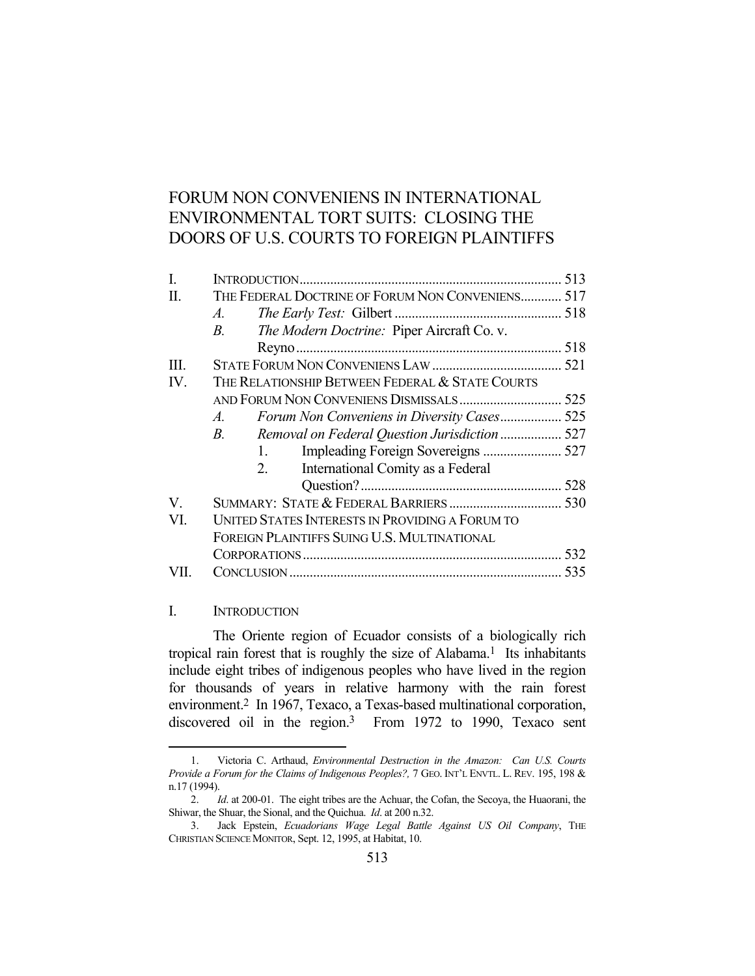# FORUM NON CONVENIENS IN INTERNATIONAL ENVIRONMENTAL TORT SUITS: CLOSING THE DOORS OF U.S. COURTS TO FOREIGN PLAINTIFFS

| L    |                                                              |  |
|------|--------------------------------------------------------------|--|
| H.   | THE FEDERAL DOCTRINE OF FORUM NON CONVENIENS 517             |  |
|      | $A$ .                                                        |  |
|      | The Modern Doctrine: Piper Aircraft Co. v.<br>$B_{\cdot}$    |  |
|      |                                                              |  |
| III. |                                                              |  |
| IV.  | THE RELATIONSHIP BETWEEN FEDERAL & STATE COURTS              |  |
|      |                                                              |  |
|      | Forum Non Conveniens in Diversity Cases 525<br>$A$ .         |  |
|      | Removal on Federal Question Jurisdiction  527<br>$R_{\rm c}$ |  |
|      | 1.                                                           |  |
|      | International Comity as a Federal<br>2.                      |  |
|      |                                                              |  |
| V.   |                                                              |  |
| VI.  | UNITED STATES INTERESTS IN PROVIDING A FORUM TO              |  |
|      | FOREIGN PLAINTIFFS SUING U.S. MULTINATIONAL                  |  |
|      |                                                              |  |
|      |                                                              |  |

# I. INTRODUCTION

<u>.</u>

The Oriente region of Ecuador consists of a biologically rich tropical rain forest that is roughly the size of Alabama.<sup>1</sup> Its inhabitants include eight tribes of indigenous peoples who have lived in the region for thousands of years in relative harmony with the rain forest environment.2 In 1967, Texaco, a Texas-based multinational corporation, discovered oil in the region.<sup>3</sup> From 1972 to 1990, Texaco sent

 <sup>1.</sup> Victoria C. Arthaud, *Environmental Destruction in the Amazon: Can U.S. Courts Provide a Forum for the Claims of Indigenous Peoples?,* 7 GEO. INT'L ENVTL. L. REV. 195, 198 & n.17 (1994).

 <sup>2.</sup> *Id*. at 200-01. The eight tribes are the Achuar, the Cofan, the Secoya, the Huaorani, the Shiwar, the Shuar, the Sional, and the Quichua. *Id*. at 200 n.32.

 <sup>3.</sup> Jack Epstein, *Ecuadorians Wage Legal Battle Against US Oil Company*, THE CHRISTIAN SCIENCE MONITOR, Sept. 12, 1995, at Habitat, 10.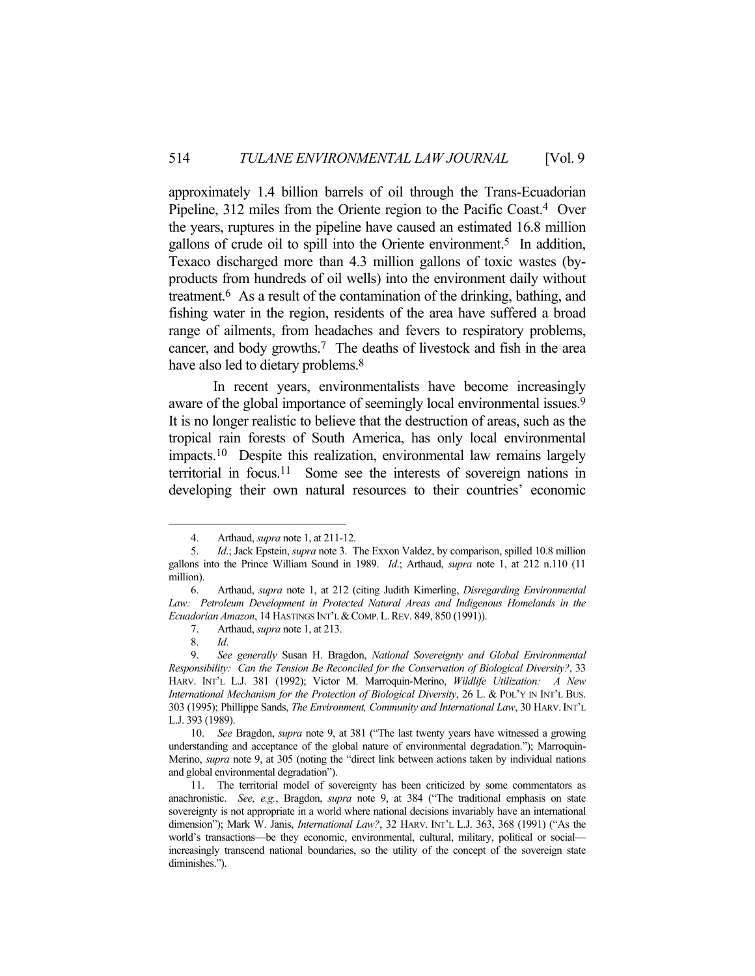approximately 1.4 billion barrels of oil through the Trans-Ecuadorian Pipeline, 312 miles from the Oriente region to the Pacific Coast.4 Over the years, ruptures in the pipeline have caused an estimated 16.8 million gallons of crude oil to spill into the Oriente environment.5 In addition, Texaco discharged more than 4.3 million gallons of toxic wastes (byproducts from hundreds of oil wells) into the environment daily without treatment.6 As a result of the contamination of the drinking, bathing, and fishing water in the region, residents of the area have suffered a broad range of ailments, from headaches and fevers to respiratory problems, cancer, and body growths.7 The deaths of livestock and fish in the area have also led to dietary problems.<sup>8</sup>

 In recent years, environmentalists have become increasingly aware of the global importance of seemingly local environmental issues.<sup>9</sup> It is no longer realistic to believe that the destruction of areas, such as the tropical rain forests of South America, has only local environmental impacts.10 Despite this realization, environmental law remains largely territorial in focus.11 Some see the interests of sovereign nations in developing their own natural resources to their countries' economic

1

 10. *See* Bragdon, *supra* note 9, at 381 ("The last twenty years have witnessed a growing understanding and acceptance of the global nature of environmental degradation."); Marroquin-Merino, *supra* note 9, at 305 (noting the "direct link between actions taken by individual nations and global environmental degradation").

 <sup>4.</sup> Arthaud, *supra* note 1, at 211-12.

 <sup>5.</sup> *Id*.; Jack Epstein, *supra* note 3. The Exxon Valdez, by comparison, spilled 10.8 million gallons into the Prince William Sound in 1989. *Id*.; Arthaud, *supra* note 1, at 212 n.110 (11 million).

 <sup>6.</sup> Arthaud, *supra* note 1, at 212 (citing Judith Kimerling, *Disregarding Environmental*  Law: Petroleum Development in Protected Natural Areas and Indigenous Homelands in the *Ecuadorian Amazon*, 14 HASTINGS INT'L &COMP.L.REV. 849, 850 (1991)).

 <sup>7.</sup> Arthaud, *supra* note 1, at 213.

 <sup>8.</sup> *Id*.

 <sup>9.</sup> *See generally* Susan H. Bragdon, *National Sovereignty and Global Environmental Responsibility: Can the Tension Be Reconciled for the Conservation of Biological Diversity?*, 33 HARV. INT'L L.J. 381 (1992); Victor M. Marroquin-Merino, *Wildlife Utilization: A New International Mechanism for the Protection of Biological Diversity*, 26 L. & POL'Y IN INT'L BUS. 303 (1995); Phillippe Sands, *The Environment, Community and International Law*, 30 HARV.INT'L L.J. 393 (1989).

 <sup>11.</sup> The territorial model of sovereignty has been criticized by some commentators as anachronistic. *See, e.g.*, Bragdon, *supra* note 9, at 384 ("The traditional emphasis on state sovereignty is not appropriate in a world where national decisions invariably have an international dimension"); Mark W. Janis, *International Law?*, 32 HARV. INT'L L.J. 363, 368 (1991) ("As the world's transactions—be they economic, environmental, cultural, military, political or social increasingly transcend national boundaries, so the utility of the concept of the sovereign state diminishes.").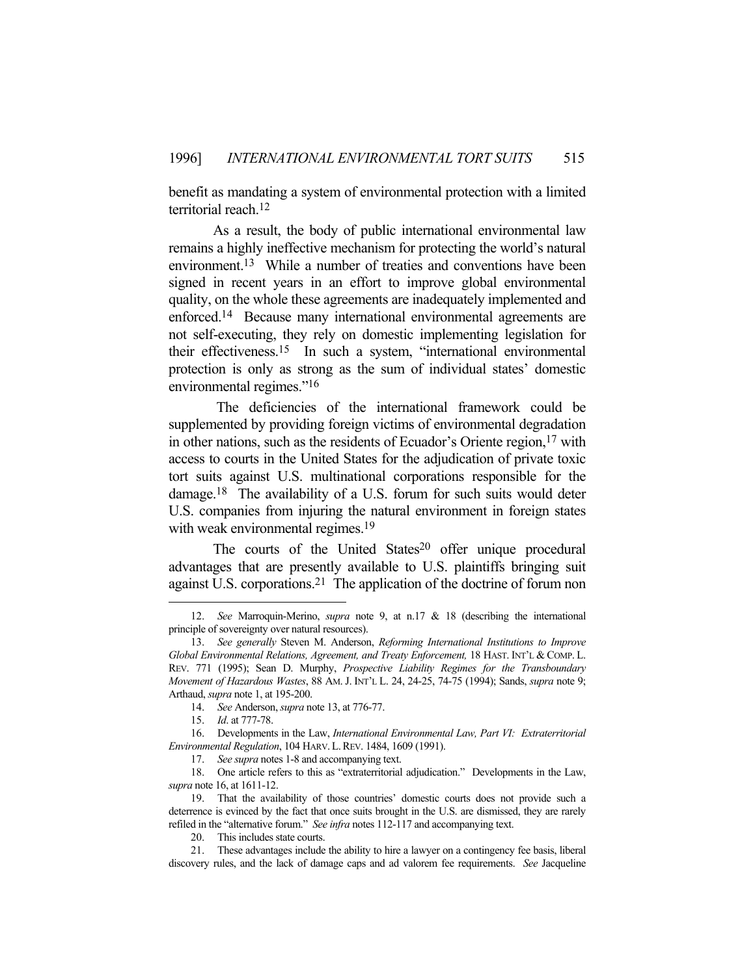benefit as mandating a system of environmental protection with a limited territorial reach.12

 As a result, the body of public international environmental law remains a highly ineffective mechanism for protecting the world's natural environment.<sup>13</sup> While a number of treaties and conventions have been signed in recent years in an effort to improve global environmental quality, on the whole these agreements are inadequately implemented and enforced.14 Because many international environmental agreements are not self-executing, they rely on domestic implementing legislation for their effectiveness.15 In such a system, "international environmental protection is only as strong as the sum of individual states' domestic environmental regimes."<sup>16</sup>

 The deficiencies of the international framework could be supplemented by providing foreign victims of environmental degradation in other nations, such as the residents of Ecuador's Oriente region,<sup>17</sup> with access to courts in the United States for the adjudication of private toxic tort suits against U.S. multinational corporations responsible for the damage.18 The availability of a U.S. forum for such suits would deter U.S. companies from injuring the natural environment in foreign states with weak environmental regimes.<sup>19</sup>

The courts of the United States<sup>20</sup> offer unique procedural advantages that are presently available to U.S. plaintiffs bringing suit against U.S. corporations.21 The application of the doctrine of forum non

 <sup>12.</sup> *See* Marroquin-Merino, *supra* note 9, at n.17 & 18 (describing the international principle of sovereignty over natural resources).

 <sup>13.</sup> *See generally* Steven M. Anderson, *Reforming International Institutions to Improve Global Environmental Relations, Agreement, and Treaty Enforcement,* 18 HAST. INT'L & COMP. L. REV. 771 (1995); Sean D. Murphy, *Prospective Liability Regimes for the Transboundary Movement of Hazardous Wastes*, 88 AM. J. INT'L L. 24, 24-25, 74-75 (1994); Sands, *supra* note 9; Arthaud, *supra* note 1, at 195-200.

 <sup>14.</sup> *See* Anderson, *supra* note 13, at 776-77.

 <sup>15.</sup> *Id*. at 777-78.

 <sup>16.</sup> Developments in the Law, *International Environmental Law, Part VI: Extraterritorial Environmental Regulation*, 104 HARV.L.REV. 1484, 1609 (1991).

 <sup>17.</sup> *See supra* notes 1-8 and accompanying text.

 <sup>18.</sup> One article refers to this as "extraterritorial adjudication." Developments in the Law, *supra* note 16, at 1611-12.

 <sup>19.</sup> That the availability of those countries' domestic courts does not provide such a deterrence is evinced by the fact that once suits brought in the U.S. are dismissed, they are rarely refiled in the "alternative forum." *See infra* notes 112-117 and accompanying text.

 <sup>20.</sup> This includes state courts.

 <sup>21.</sup> These advantages include the ability to hire a lawyer on a contingency fee basis, liberal discovery rules, and the lack of damage caps and ad valorem fee requirements. *See* Jacqueline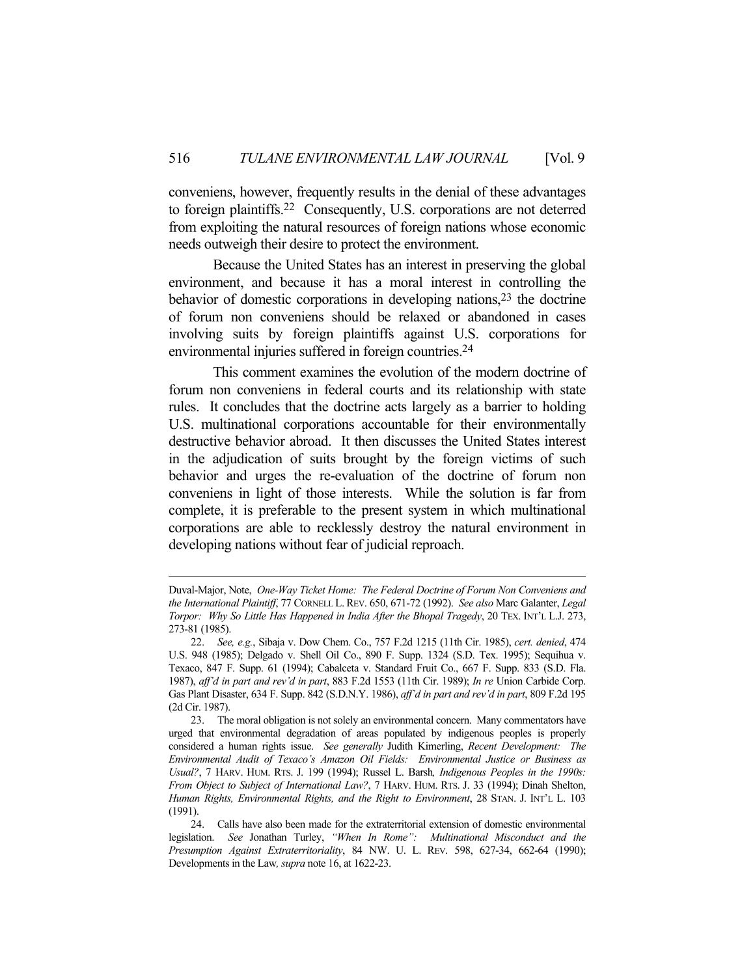conveniens, however, frequently results in the denial of these advantages to foreign plaintiffs.22 Consequently, U.S. corporations are not deterred from exploiting the natural resources of foreign nations whose economic needs outweigh their desire to protect the environment.

 Because the United States has an interest in preserving the global environment, and because it has a moral interest in controlling the behavior of domestic corporations in developing nations,23 the doctrine of forum non conveniens should be relaxed or abandoned in cases involving suits by foreign plaintiffs against U.S. corporations for environmental injuries suffered in foreign countries.24

 This comment examines the evolution of the modern doctrine of forum non conveniens in federal courts and its relationship with state rules. It concludes that the doctrine acts largely as a barrier to holding U.S. multinational corporations accountable for their environmentally destructive behavior abroad. It then discusses the United States interest in the adjudication of suits brought by the foreign victims of such behavior and urges the re-evaluation of the doctrine of forum non conveniens in light of those interests. While the solution is far from complete, it is preferable to the present system in which multinational corporations are able to recklessly destroy the natural environment in developing nations without fear of judicial reproach.

Duval-Major, Note, *One-Way Ticket Home: The Federal Doctrine of Forum Non Conveniens and the International Plaintiff*, 77 CORNELL L.REV. 650, 671-72 (1992). *See also* Marc Galanter, *Legal Torpor: Why So Little Has Happened in India After the Bhopal Tragedy*, 20 TEX. INT'L L.J. 273, 273-81 (1985).

 <sup>22.</sup> *See, e.g.*, Sibaja v. Dow Chem. Co., 757 F.2d 1215 (11th Cir. 1985), *cert. denied*, 474 U.S. 948 (1985); Delgado v. Shell Oil Co., 890 F. Supp. 1324 (S.D. Tex. 1995); Sequihua v. Texaco, 847 F. Supp. 61 (1994); Cabalceta v. Standard Fruit Co., 667 F. Supp. 833 (S.D. Fla. 1987), *aff'd in part and rev'd in part*, 883 F.2d 1553 (11th Cir. 1989); *In re* Union Carbide Corp. Gas Plant Disaster, 634 F. Supp. 842 (S.D.N.Y. 1986), *aff'd in part and rev'd in part*, 809 F.2d 195 (2d Cir. 1987).

 <sup>23.</sup> The moral obligation is not solely an environmental concern. Many commentators have urged that environmental degradation of areas populated by indigenous peoples is properly considered a human rights issue. *See generally* Judith Kimerling, *Recent Development: The Environmental Audit of Texaco's Amazon Oil Fields: Environmental Justice or Business as Usual?*, 7 HARV. HUM. RTS. J. 199 (1994); Russel L. Barsh*, Indigenous Peoples in the 1990s: From Object to Subject of International Law?*, 7 HARV. HUM. RTS. J. 33 (1994); Dinah Shelton, *Human Rights, Environmental Rights, and the Right to Environment*, 28 STAN. J. INT'L L. 103 (1991).

 <sup>24.</sup> Calls have also been made for the extraterritorial extension of domestic environmental legislation. *See* Jonathan Turley, *"When In Rome": Multinational Misconduct and the Presumption Against Extraterritoriality*, 84 NW. U. L. REV. 598, 627-34, 662-64 (1990); Developments in the Law*, supra* note 16, at 1622-23.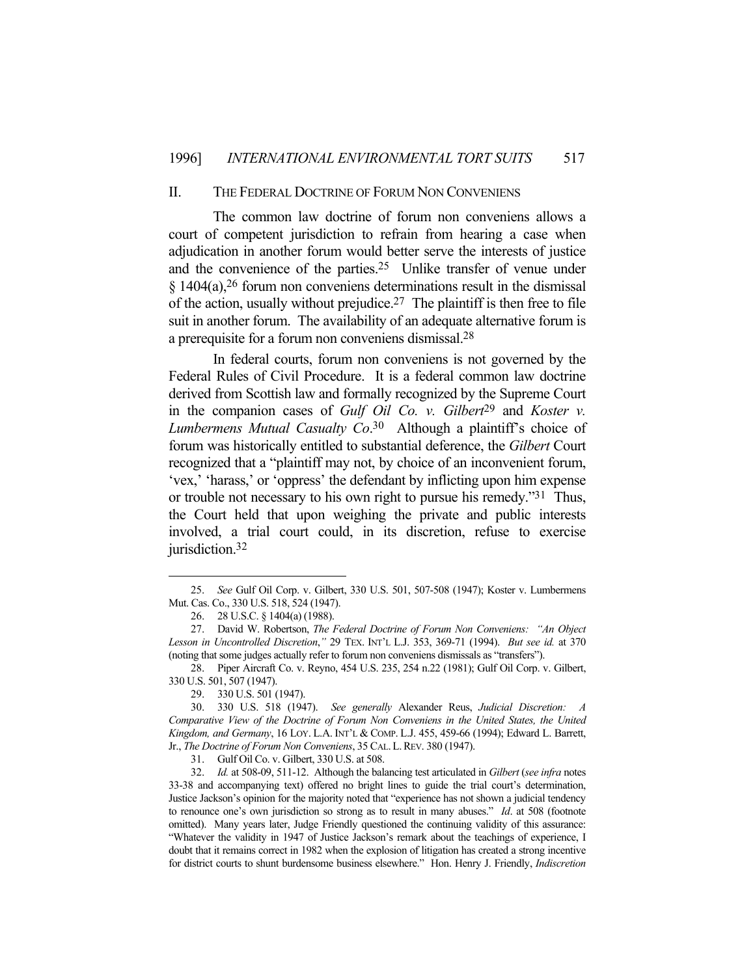## II. THE FEDERAL DOCTRINE OF FORUM NON CONVENIENS

The common law doctrine of forum non conveniens allows a court of competent jurisdiction to refrain from hearing a case when adjudication in another forum would better serve the interests of justice and the convenience of the parties.25 Unlike transfer of venue under  $§$  1404(a),<sup>26</sup> forum non conveniens determinations result in the dismissal of the action, usually without prejudice.<sup>27</sup> The plaintiff is then free to file suit in another forum. The availability of an adequate alternative forum is a prerequisite for a forum non conveniens dismissal.28

 In federal courts, forum non conveniens is not governed by the Federal Rules of Civil Procedure. It is a federal common law doctrine derived from Scottish law and formally recognized by the Supreme Court in the companion cases of *Gulf Oil Co. v. Gilbert*29 and *Koster v. Lumbermens Mutual Casualty Co*. 30 Although a plaintiff's choice of forum was historically entitled to substantial deference, the *Gilbert* Court recognized that a "plaintiff may not, by choice of an inconvenient forum, 'vex,' 'harass,' or 'oppress' the defendant by inflicting upon him expense or trouble not necessary to his own right to pursue his remedy."31 Thus, the Court held that upon weighing the private and public interests involved, a trial court could, in its discretion, refuse to exercise jurisdiction.32

 <sup>25.</sup> *See* Gulf Oil Corp. v. Gilbert, 330 U.S. 501, 507-508 (1947); Koster v. Lumbermens Mut. Cas. Co., 330 U.S. 518, 524 (1947).

 <sup>26. 28</sup> U.S.C. § 1404(a) (1988).

 <sup>27.</sup> David W. Robertson, *The Federal Doctrine of Forum Non Conveniens: "An Object Lesson in Uncontrolled Discretion*,*"* 29 TEX. INT'L L.J. 353, 369-71 (1994). *But see id.* at 370 (noting that some judges actually refer to forum non conveniens dismissals as "transfers").

 <sup>28.</sup> Piper Aircraft Co. v. Reyno, 454 U.S. 235, 254 n.22 (1981); Gulf Oil Corp. v. Gilbert, 330 U.S. 501, 507 (1947).

 <sup>29. 330</sup> U.S. 501 (1947).

 <sup>30. 330</sup> U.S. 518 (1947). *See generally* Alexander Reus, *Judicial Discretion: A Comparative View of the Doctrine of Forum Non Conveniens in the United States, the United Kingdom, and Germany*, 16 LOY. L.A. INT'L & COMP. L.J. 455, 459-66 (1994); Edward L. Barrett, Jr., *The Doctrine of Forum Non Conveniens*, 35 CAL.L.REV. 380 (1947).

 <sup>31.</sup> Gulf Oil Co. v. Gilbert, 330 U.S. at 508.

 <sup>32.</sup> *Id.* at 508-09, 511-12. Although the balancing test articulated in *Gilbert* (*see infra* notes 33-38 and accompanying text) offered no bright lines to guide the trial court's determination, Justice Jackson's opinion for the majority noted that "experience has not shown a judicial tendency to renounce one's own jurisdiction so strong as to result in many abuses." *Id*. at 508 (footnote omitted). Many years later, Judge Friendly questioned the continuing validity of this assurance: "Whatever the validity in 1947 of Justice Jackson's remark about the teachings of experience, I doubt that it remains correct in 1982 when the explosion of litigation has created a strong incentive for district courts to shunt burdensome business elsewhere." Hon. Henry J. Friendly, *Indiscretion*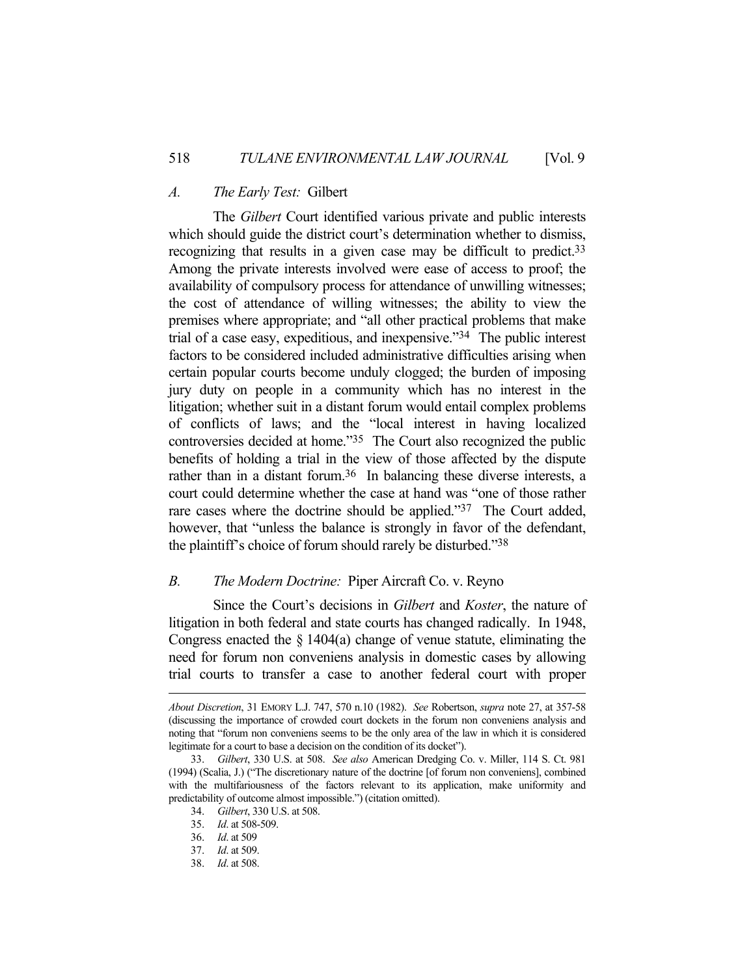#### *A. The Early Test:* Gilbert

 The *Gilbert* Court identified various private and public interests which should guide the district court's determination whether to dismiss, recognizing that results in a given case may be difficult to predict.33 Among the private interests involved were ease of access to proof; the availability of compulsory process for attendance of unwilling witnesses; the cost of attendance of willing witnesses; the ability to view the premises where appropriate; and "all other practical problems that make trial of a case easy, expeditious, and inexpensive."34 The public interest factors to be considered included administrative difficulties arising when certain popular courts become unduly clogged; the burden of imposing jury duty on people in a community which has no interest in the litigation; whether suit in a distant forum would entail complex problems of conflicts of laws; and the "local interest in having localized controversies decided at home."35 The Court also recognized the public benefits of holding a trial in the view of those affected by the dispute rather than in a distant forum.<sup>36</sup> In balancing these diverse interests, a court could determine whether the case at hand was "one of those rather rare cases where the doctrine should be applied."<sup>37</sup> The Court added, however, that "unless the balance is strongly in favor of the defendant, the plaintiff's choice of forum should rarely be disturbed."38

## *B. The Modern Doctrine:* Piper Aircraft Co. v. Reyno

 Since the Court's decisions in *Gilbert* and *Koster*, the nature of litigation in both federal and state courts has changed radically. In 1948, Congress enacted the  $\S$  1404(a) change of venue statute, eliminating the need for forum non conveniens analysis in domestic cases by allowing trial courts to transfer a case to another federal court with proper

*About Discretion*, 31 EMORY L.J. 747, 570 n.10 (1982). *See* Robertson, *supra* note 27, at 357-58 (discussing the importance of crowded court dockets in the forum non conveniens analysis and noting that "forum non conveniens seems to be the only area of the law in which it is considered legitimate for a court to base a decision on the condition of its docket").

 <sup>33.</sup> *Gilbert*, 330 U.S. at 508. *See also* American Dredging Co. v. Miller, 114 S. Ct. 981 (1994) (Scalia, J.) ("The discretionary nature of the doctrine [of forum non conveniens], combined with the multifariousness of the factors relevant to its application, make uniformity and predictability of outcome almost impossible.") (citation omitted).

 <sup>34.</sup> *Gilbert*, 330 U.S. at 508.

 <sup>35.</sup> *Id*. at 508-509.

 <sup>36.</sup> *Id*. at 509

 <sup>37.</sup> *Id*. at 509.

 <sup>38.</sup> *Id*. at 508.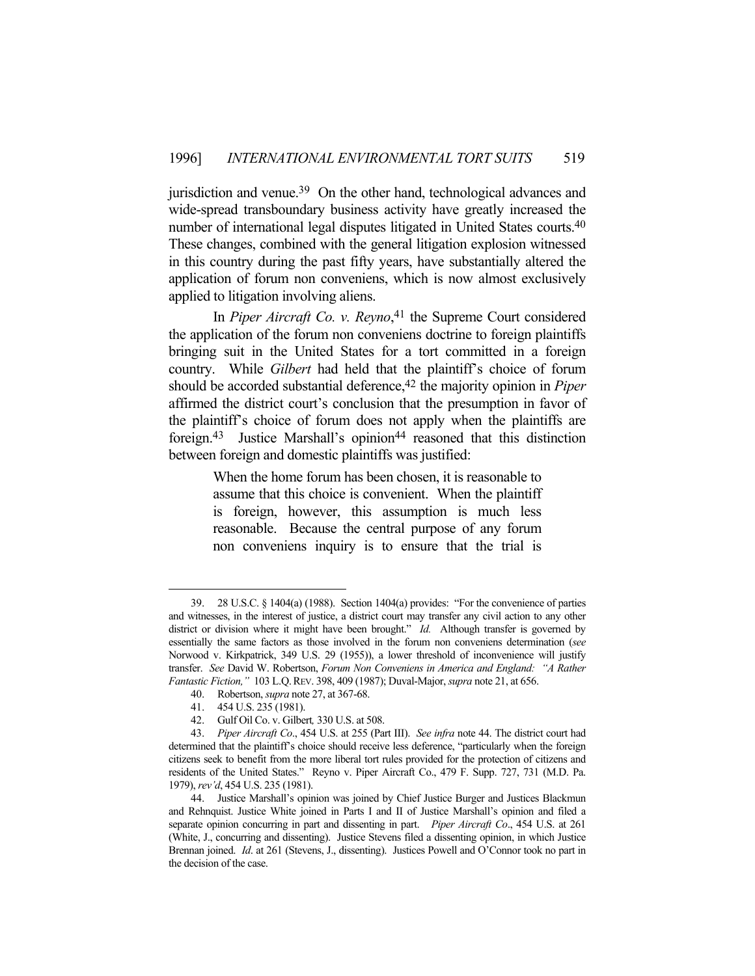jurisdiction and venue.39 On the other hand, technological advances and wide-spread transboundary business activity have greatly increased the number of international legal disputes litigated in United States courts.<sup>40</sup> These changes, combined with the general litigation explosion witnessed in this country during the past fifty years, have substantially altered the application of forum non conveniens, which is now almost exclusively applied to litigation involving aliens.

 In *Piper Aircraft Co. v. Reyno*, 41 the Supreme Court considered the application of the forum non conveniens doctrine to foreign plaintiffs bringing suit in the United States for a tort committed in a foreign country. While *Gilbert* had held that the plaintiff's choice of forum should be accorded substantial deference,<sup>42</sup> the majority opinion in *Piper* affirmed the district court's conclusion that the presumption in favor of the plaintiff's choice of forum does not apply when the plaintiffs are foreign.<sup>43</sup> Justice Marshall's opinion<sup>44</sup> reasoned that this distinction between foreign and domestic plaintiffs was justified:

> When the home forum has been chosen, it is reasonable to assume that this choice is convenient. When the plaintiff is foreign, however, this assumption is much less reasonable. Because the central purpose of any forum non conveniens inquiry is to ensure that the trial is

40. Robertson, *supra* note 27, at 367-68.

 <sup>39. 28</sup> U.S.C. § 1404(a) (1988). Section 1404(a) provides: "For the convenience of parties and witnesses, in the interest of justice, a district court may transfer any civil action to any other district or division where it might have been brought." *Id.* Although transfer is governed by essentially the same factors as those involved in the forum non conveniens determination (*see* Norwood v. Kirkpatrick, 349 U.S. 29 (1955)), a lower threshold of inconvenience will justify transfer. *See* David W. Robertson, *Forum Non Conveniens in America and England: "A Rather Fantastic Fiction,"* 103 L.Q.REV. 398, 409 (1987); Duval-Major, *supra* note 21, at 656.

 <sup>41. 454</sup> U.S. 235 (1981).

 <sup>42.</sup> Gulf Oil Co. v. Gilbert*,* 330 U.S. at 508.

 <sup>43.</sup> *Piper Aircraft Co*., 454 U.S. at 255 (Part III). *See infra* note 44. The district court had determined that the plaintiff's choice should receive less deference, "particularly when the foreign citizens seek to benefit from the more liberal tort rules provided for the protection of citizens and residents of the United States." Reyno v. Piper Aircraft Co., 479 F. Supp. 727, 731 (M.D. Pa. 1979), *rev'd*, 454 U.S. 235 (1981).

 <sup>44.</sup> Justice Marshall's opinion was joined by Chief Justice Burger and Justices Blackmun and Rehnquist. Justice White joined in Parts I and II of Justice Marshall's opinion and filed a separate opinion concurring in part and dissenting in part. *Piper Aircraft Co*., 454 U.S. at 261 (White, J., concurring and dissenting). Justice Stevens filed a dissenting opinion, in which Justice Brennan joined. *Id*. at 261 (Stevens, J., dissenting). Justices Powell and O'Connor took no part in the decision of the case.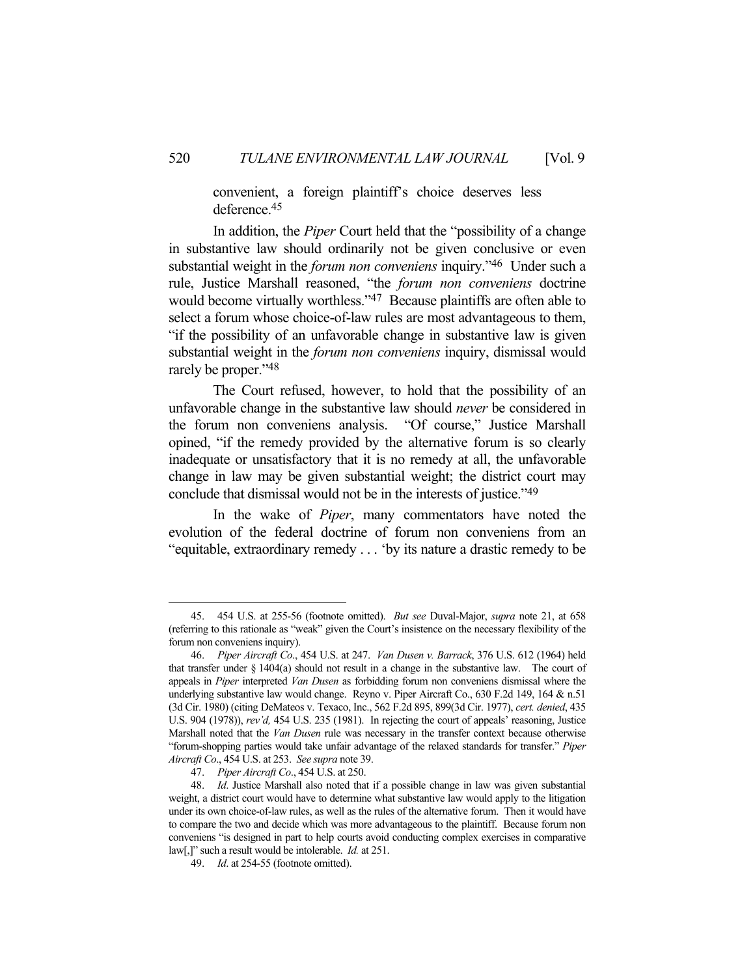convenient, a foreign plaintiff's choice deserves less deference.45

 In addition, the *Piper* Court held that the "possibility of a change in substantive law should ordinarily not be given conclusive or even substantial weight in the *forum non conveniens* inquiry."46 Under such a rule, Justice Marshall reasoned, "the *forum non conveniens* doctrine would become virtually worthless."47 Because plaintiffs are often able to select a forum whose choice-of-law rules are most advantageous to them, "if the possibility of an unfavorable change in substantive law is given substantial weight in the *forum non conveniens* inquiry, dismissal would rarely be proper."48

 The Court refused, however, to hold that the possibility of an unfavorable change in the substantive law should *never* be considered in the forum non conveniens analysis. "Of course," Justice Marshall opined, "if the remedy provided by the alternative forum is so clearly inadequate or unsatisfactory that it is no remedy at all, the unfavorable change in law may be given substantial weight; the district court may conclude that dismissal would not be in the interests of justice."49

 In the wake of *Piper*, many commentators have noted the evolution of the federal doctrine of forum non conveniens from an "equitable, extraordinary remedy . . . 'by its nature a drastic remedy to be

 <sup>45. 454</sup> U.S. at 255-56 (footnote omitted). *But see* Duval-Major, *supra* note 21, at 658 (referring to this rationale as "weak" given the Court's insistence on the necessary flexibility of the forum non conveniens inquiry).

 <sup>46.</sup> *Piper Aircraft Co*., 454 U.S. at 247. *Van Dusen v. Barrack*, 376 U.S. 612 (1964) held that transfer under § 1404(a) should not result in a change in the substantive law. The court of appeals in *Piper* interpreted *Van Dusen* as forbidding forum non conveniens dismissal where the underlying substantive law would change. Reyno v. Piper Aircraft Co., 630 F.2d 149, 164 & n.51 (3d Cir. 1980) (citing DeMateos v. Texaco, Inc., 562 F.2d 895, 899(3d Cir. 1977), *cert. denied*, 435 U.S. 904 (1978)), *rev'd,* 454 U.S. 235 (1981). In rejecting the court of appeals' reasoning, Justice Marshall noted that the *Van Dusen* rule was necessary in the transfer context because otherwise "forum-shopping parties would take unfair advantage of the relaxed standards for transfer." *Piper Aircraft Co*., 454 U.S. at 253. *See supra* note 39.

 <sup>47.</sup> *Piper Aircraft Co*., 454 U.S. at 250.

 <sup>48.</sup> *Id*. Justice Marshall also noted that if a possible change in law was given substantial weight, a district court would have to determine what substantive law would apply to the litigation under its own choice-of-law rules, as well as the rules of the alternative forum. Then it would have to compare the two and decide which was more advantageous to the plaintiff. Because forum non conveniens "is designed in part to help courts avoid conducting complex exercises in comparative law[,]" such a result would be intolerable. *Id.* at 251.

 <sup>49.</sup> *Id*. at 254-55 (footnote omitted).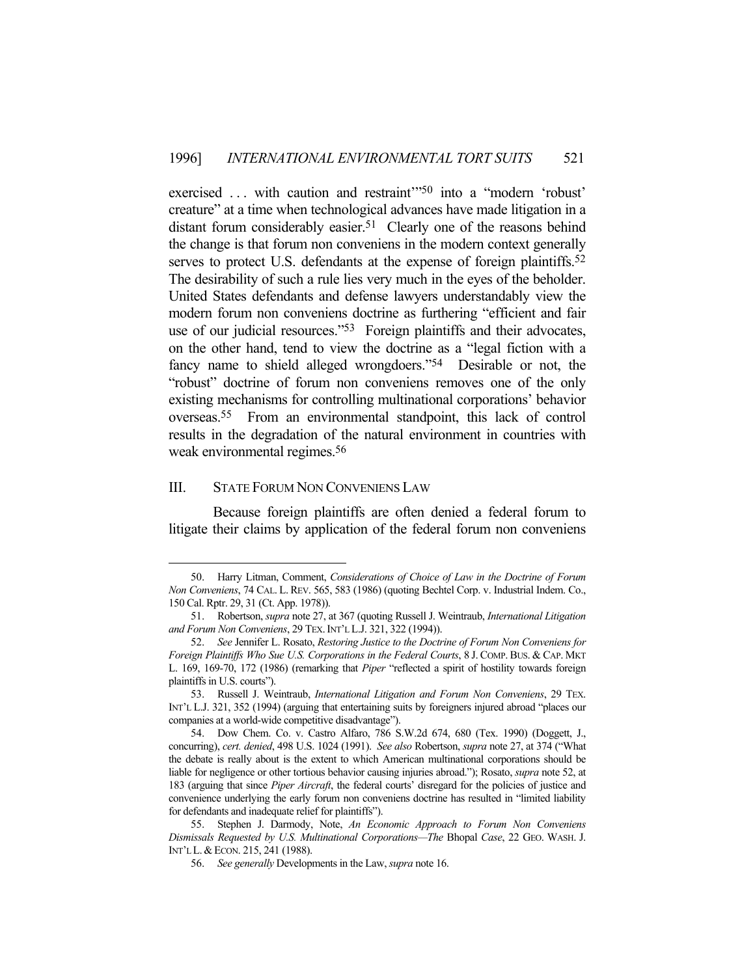exercised ... with caution and restraint<sup>350</sup> into a "modern 'robust' creature" at a time when technological advances have made litigation in a distant forum considerably easier.<sup>51</sup> Clearly one of the reasons behind the change is that forum non conveniens in the modern context generally serves to protect U.S. defendants at the expense of foreign plaintiffs.<sup>52</sup> The desirability of such a rule lies very much in the eyes of the beholder. United States defendants and defense lawyers understandably view the modern forum non conveniens doctrine as furthering "efficient and fair use of our judicial resources."<sup>53</sup> Foreign plaintiffs and their advocates, on the other hand, tend to view the doctrine as a "legal fiction with a fancy name to shield alleged wrongdoers."<sup>54</sup> Desirable or not, the "robust" doctrine of forum non conveniens removes one of the only existing mechanisms for controlling multinational corporations' behavior overseas.55 From an environmental standpoint, this lack of control results in the degradation of the natural environment in countries with weak environmental regimes.<sup>56</sup>

## III. STATE FORUM NON CONVENIENS LAW

1

Because foreign plaintiffs are often denied a federal forum to litigate their claims by application of the federal forum non conveniens

 <sup>50.</sup> Harry Litman, Comment, *Considerations of Choice of Law in the Doctrine of Forum Non Conveniens*, 74 CAL. L. REV. 565, 583 (1986) (quoting Bechtel Corp. v. Industrial Indem. Co., 150 Cal. Rptr. 29, 31 (Ct. App. 1978)).

 <sup>51.</sup> Robertson, *supra* note 27, at 367 (quoting Russell J. Weintraub, *International Litigation and Forum Non Conveniens*, 29 TEX.INT'L L.J. 321, 322 (1994)).

 <sup>52.</sup> *See* Jennifer L. Rosato, *Restoring Justice to the Doctrine of Forum Non Conveniens for Foreign Plaintiffs Who Sue U.S. Corporations in the Federal Courts*, 8 J. COMP. BUS. & CAP. MKT L. 169, 169-70, 172 (1986) (remarking that *Piper* "reflected a spirit of hostility towards foreign plaintiffs in U.S. courts").

 <sup>53.</sup> Russell J. Weintraub, *International Litigation and Forum Non Conveniens*, 29 TEX. INT'L L.J. 321, 352 (1994) (arguing that entertaining suits by foreigners injured abroad "places our companies at a world-wide competitive disadvantage").

 <sup>54.</sup> Dow Chem. Co. v. Castro Alfaro, 786 S.W.2d 674, 680 (Tex. 1990) (Doggett, J., concurring), *cert. denied*, 498 U.S. 1024 (1991). *See also* Robertson, *supra* note 27, at 374 ("What the debate is really about is the extent to which American multinational corporations should be liable for negligence or other tortious behavior causing injuries abroad."); Rosato, *supra* note 52, at 183 (arguing that since *Piper Aircraft*, the federal courts' disregard for the policies of justice and convenience underlying the early forum non conveniens doctrine has resulted in "limited liability for defendants and inadequate relief for plaintiffs").

 <sup>55.</sup> Stephen J. Darmody, Note, *An Economic Approach to Forum Non Conveniens Dismissals Requested by U.S. Multinational Corporations—The* Bhopal *Case*, 22 GEO. WASH. J. INT'L L.&ECON. 215, 241 (1988).

 <sup>56.</sup> *See generally* Developments in the Law, *supra* note 16.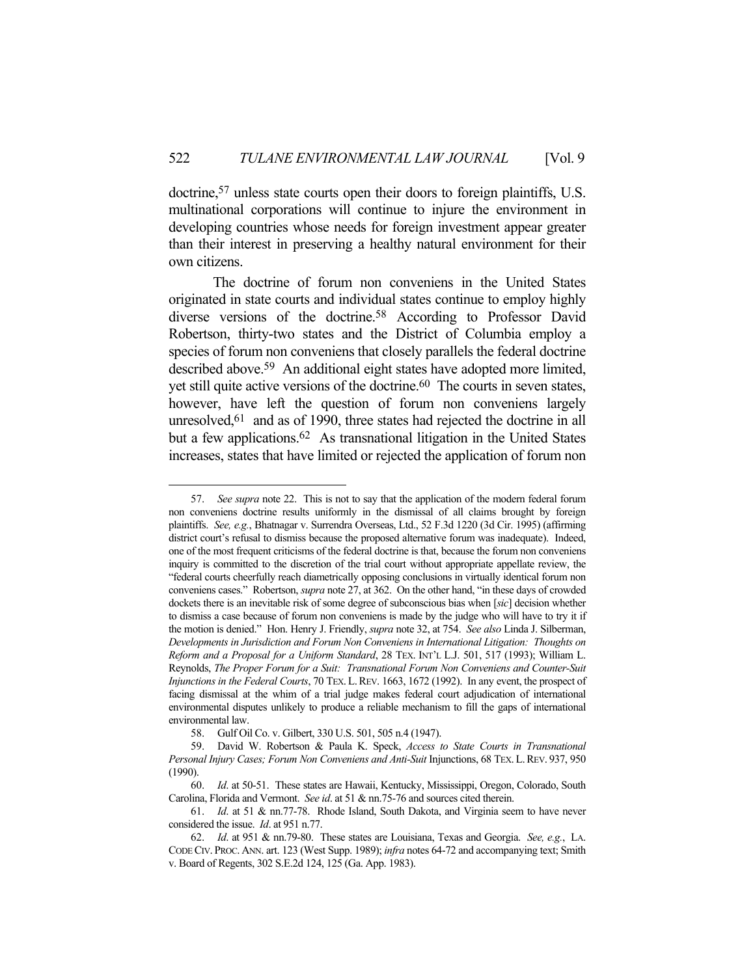doctrine,57 unless state courts open their doors to foreign plaintiffs, U.S. multinational corporations will continue to injure the environment in developing countries whose needs for foreign investment appear greater than their interest in preserving a healthy natural environment for their own citizens.

 The doctrine of forum non conveniens in the United States originated in state courts and individual states continue to employ highly diverse versions of the doctrine.58 According to Professor David Robertson, thirty-two states and the District of Columbia employ a species of forum non conveniens that closely parallels the federal doctrine described above.59 An additional eight states have adopted more limited, yet still quite active versions of the doctrine.60 The courts in seven states, however, have left the question of forum non conveniens largely unresolved,<sup>61</sup> and as of 1990, three states had rejected the doctrine in all but a few applications.<sup>62</sup> As transnational litigation in the United States increases, states that have limited or rejected the application of forum non

 <sup>57.</sup> *See supra* note 22. This is not to say that the application of the modern federal forum non conveniens doctrine results uniformly in the dismissal of all claims brought by foreign plaintiffs. *See, e.g.*, Bhatnagar v. Surrendra Overseas, Ltd., 52 F.3d 1220 (3d Cir. 1995) (affirming district court's refusal to dismiss because the proposed alternative forum was inadequate). Indeed, one of the most frequent criticisms of the federal doctrine is that, because the forum non conveniens inquiry is committed to the discretion of the trial court without appropriate appellate review, the "federal courts cheerfully reach diametrically opposing conclusions in virtually identical forum non conveniens cases." Robertson, *supra* note 27, at 362. On the other hand, "in these days of crowded dockets there is an inevitable risk of some degree of subconscious bias when [*sic*] decision whether to dismiss a case because of forum non conveniens is made by the judge who will have to try it if the motion is denied." Hon. Henry J. Friendly, *supra* note 32, at 754. *See also* Linda J. Silberman, *Developments in Jurisdiction and Forum Non Conveniens in International Litigation: Thoughts on Reform and a Proposal for a Uniform Standard*, 28 TEX. INT'L L.J. 501, 517 (1993); William L. Reynolds, *The Proper Forum for a Suit: Transnational Forum Non Conveniens and Counter-Suit Injunctions in the Federal Courts*, 70 TEX.L.REV. 1663, 1672 (1992). In any event, the prospect of facing dismissal at the whim of a trial judge makes federal court adjudication of international environmental disputes unlikely to produce a reliable mechanism to fill the gaps of international environmental law.

 <sup>58.</sup> Gulf Oil Co. v. Gilbert, 330 U.S. 501, 505 n.4 (1947).

 <sup>59.</sup> David W. Robertson & Paula K. Speck, *Access to State Courts in Transnational Personal Injury Cases; Forum Non Conveniens and Anti-Suit* Injunctions, 68 TEX.L.REV. 937, 950 (1990).

 <sup>60.</sup> *Id*. at 50-51. These states are Hawaii, Kentucky, Mississippi, Oregon, Colorado, South Carolina, Florida and Vermont. *See id*. at 51 & nn.75-76 and sources cited therein.

 <sup>61.</sup> *Id*. at 51 & nn.77-78. Rhode Island, South Dakota, and Virginia seem to have never considered the issue. *Id*. at 951 n.77.

 <sup>62.</sup> *Id*. at 951 & nn.79-80. These states are Louisiana, Texas and Georgia. *See, e.g.*, LA. CODE CIV. PROC. ANN. art. 123 (West Supp. 1989); *infra* notes 64-72 and accompanying text; Smith v. Board of Regents, 302 S.E.2d 124, 125 (Ga. App. 1983).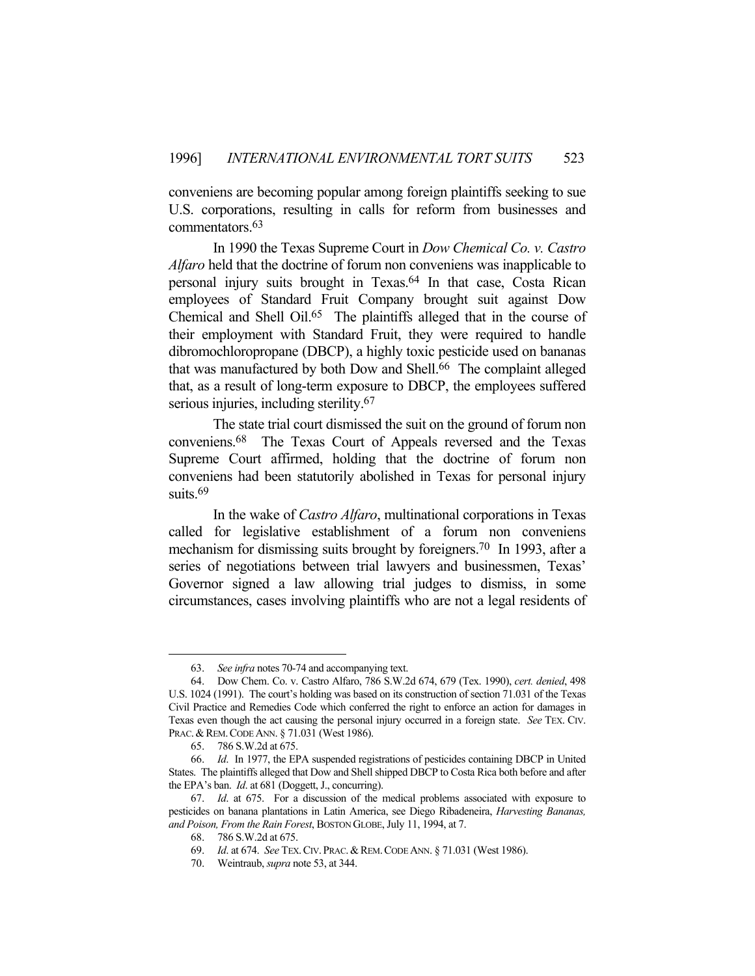conveniens are becoming popular among foreign plaintiffs seeking to sue U.S. corporations, resulting in calls for reform from businesses and commentators.63

 In 1990 the Texas Supreme Court in *Dow Chemical Co. v. Castro Alfaro* held that the doctrine of forum non conveniens was inapplicable to personal injury suits brought in Texas.64 In that case, Costa Rican employees of Standard Fruit Company brought suit against Dow Chemical and Shell Oil.65 The plaintiffs alleged that in the course of their employment with Standard Fruit, they were required to handle dibromochloropropane (DBCP), a highly toxic pesticide used on bananas that was manufactured by both Dow and Shell.66 The complaint alleged that, as a result of long-term exposure to DBCP, the employees suffered serious injuries, including sterility.<sup>67</sup>

 The state trial court dismissed the suit on the ground of forum non conveniens.68 The Texas Court of Appeals reversed and the Texas Supreme Court affirmed, holding that the doctrine of forum non conveniens had been statutorily abolished in Texas for personal injury suits.<sup>69</sup>

 In the wake of *Castro Alfaro*, multinational corporations in Texas called for legislative establishment of a forum non conveniens mechanism for dismissing suits brought by foreigners.70 In 1993, after a series of negotiations between trial lawyers and businessmen, Texas' Governor signed a law allowing trial judges to dismiss, in some circumstances, cases involving plaintiffs who are not a legal residents of

 <sup>63.</sup> *See infra* notes 70-74 and accompanying text.

 <sup>64.</sup> Dow Chem. Co. v. Castro Alfaro, 786 S.W.2d 674, 679 (Tex. 1990), *cert. denied*, 498 U.S. 1024 (1991). The court's holding was based on its construction of section 71.031 of the Texas Civil Practice and Remedies Code which conferred the right to enforce an action for damages in Texas even though the act causing the personal injury occurred in a foreign state. *See* TEX. CIV. PRAC. & REM. CODE ANN. § 71.031 (West 1986).

 <sup>65. 786</sup> S.W.2d at 675.

 <sup>66.</sup> *Id*. In 1977, the EPA suspended registrations of pesticides containing DBCP in United States. The plaintiffs alleged that Dow and Shell shipped DBCP to Costa Rica both before and after the EPA's ban. *Id*. at 681 (Doggett, J., concurring).

 <sup>67.</sup> *Id*. at 675. For a discussion of the medical problems associated with exposure to pesticides on banana plantations in Latin America, see Diego Ribadeneira, *Harvesting Bananas, and Poison, From the Rain Forest*, BOSTON GLOBE, July 11, 1994, at 7.

 <sup>68. 786</sup> S.W.2d at 675.

 <sup>69.</sup> *Id*. at 674. *See* TEX.CIV. PRAC.&REM.CODE ANN. § 71.031 (West 1986).

 <sup>70.</sup> Weintraub, *supra* note 53, at 344.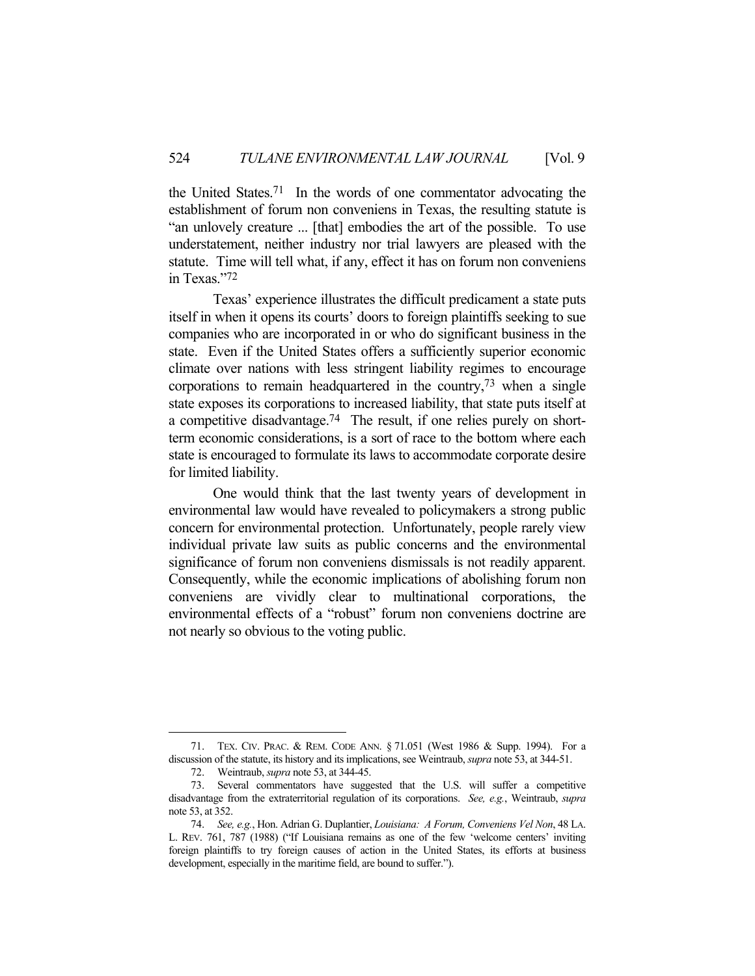the United States.71 In the words of one commentator advocating the establishment of forum non conveniens in Texas, the resulting statute is "an unlovely creature ... [that] embodies the art of the possible. To use understatement, neither industry nor trial lawyers are pleased with the statute. Time will tell what, if any, effect it has on forum non conveniens in Texas."72

 Texas' experience illustrates the difficult predicament a state puts itself in when it opens its courts' doors to foreign plaintiffs seeking to sue companies who are incorporated in or who do significant business in the state. Even if the United States offers a sufficiently superior economic climate over nations with less stringent liability regimes to encourage corporations to remain headquartered in the country,  $73$  when a single state exposes its corporations to increased liability, that state puts itself at a competitive disadvantage.74 The result, if one relies purely on shortterm economic considerations, is a sort of race to the bottom where each state is encouraged to formulate its laws to accommodate corporate desire for limited liability.

 One would think that the last twenty years of development in environmental law would have revealed to policymakers a strong public concern for environmental protection. Unfortunately, people rarely view individual private law suits as public concerns and the environmental significance of forum non conveniens dismissals is not readily apparent. Consequently, while the economic implications of abolishing forum non conveniens are vividly clear to multinational corporations, the environmental effects of a "robust" forum non conveniens doctrine are not nearly so obvious to the voting public.

 <sup>71.</sup> TEX. CIV. PRAC. & REM. CODE ANN. § 71.051 (West 1986 & Supp. 1994). For a discussion of the statute, its history and its implications, see Weintraub, *supra* note 53, at 344-51.

 <sup>72.</sup> Weintraub, *supra* note 53, at 344-45.

 <sup>73.</sup> Several commentators have suggested that the U.S. will suffer a competitive disadvantage from the extraterritorial regulation of its corporations. *See, e.g.*, Weintraub, *supra* note 53, at 352.

 <sup>74.</sup> *See, e.g.*, Hon. Adrian G. Duplantier, *Louisiana: A Forum, Conveniens Vel Non*, 48 LA. L. REV. 761, 787 (1988) ("If Louisiana remains as one of the few 'welcome centers' inviting foreign plaintiffs to try foreign causes of action in the United States, its efforts at business development, especially in the maritime field, are bound to suffer.").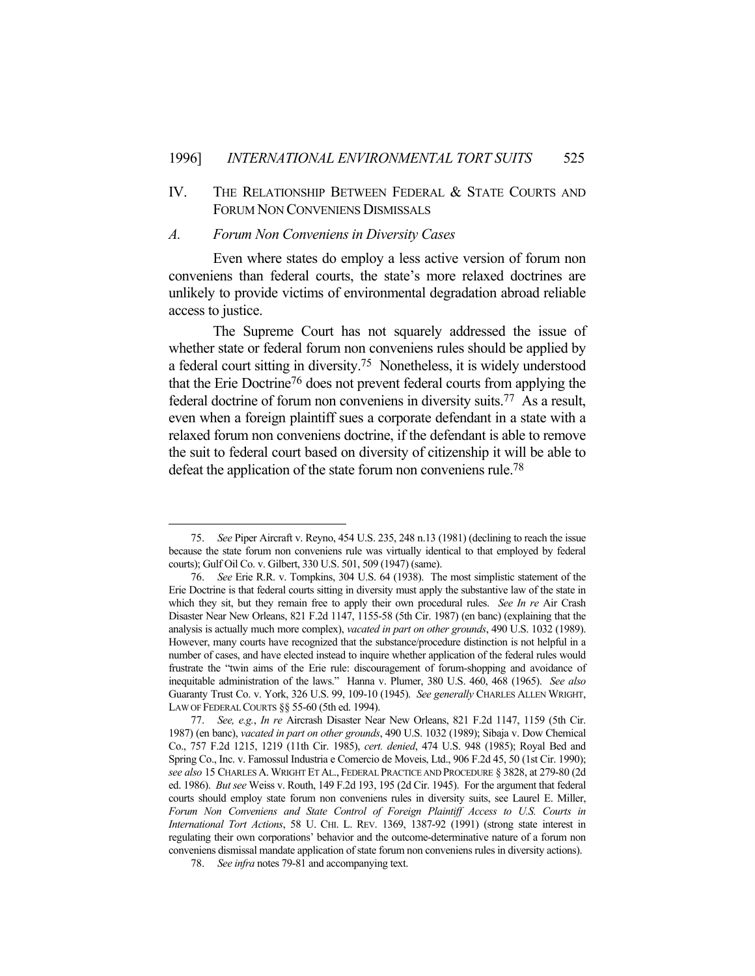# IV. THE RELATIONSHIP BETWEEN FEDERAL & STATE COURTS AND FORUM NON CONVENIENS DISMISSALS

#### *A. Forum Non Conveniens in Diversity Cases*

 Even where states do employ a less active version of forum non conveniens than federal courts, the state's more relaxed doctrines are unlikely to provide victims of environmental degradation abroad reliable access to justice.

 The Supreme Court has not squarely addressed the issue of whether state or federal forum non conveniens rules should be applied by a federal court sitting in diversity.75 Nonetheless, it is widely understood that the Erie Doctrine76 does not prevent federal courts from applying the federal doctrine of forum non conveniens in diversity suits.77 As a result, even when a foreign plaintiff sues a corporate defendant in a state with a relaxed forum non conveniens doctrine, if the defendant is able to remove the suit to federal court based on diversity of citizenship it will be able to defeat the application of the state forum non conveniens rule.<sup>78</sup>

 <sup>75.</sup> *See* Piper Aircraft v. Reyno, 454 U.S. 235, 248 n.13 (1981) (declining to reach the issue because the state forum non conveniens rule was virtually identical to that employed by federal courts); Gulf Oil Co. v. Gilbert, 330 U.S. 501, 509 (1947) (same).

 <sup>76.</sup> *See* Erie R.R. v. Tompkins, 304 U.S. 64 (1938). The most simplistic statement of the Erie Doctrine is that federal courts sitting in diversity must apply the substantive law of the state in which they sit, but they remain free to apply their own procedural rules. *See In re* Air Crash Disaster Near New Orleans, 821 F.2d 1147, 1155-58 (5th Cir. 1987) (en banc) (explaining that the analysis is actually much more complex), *vacated in part on other grounds*, 490 U.S. 1032 (1989). However, many courts have recognized that the substance/procedure distinction is not helpful in a number of cases, and have elected instead to inquire whether application of the federal rules would frustrate the "twin aims of the Erie rule: discouragement of forum-shopping and avoidance of inequitable administration of the laws." Hanna v. Plumer, 380 U.S. 460, 468 (1965). *See also* Guaranty Trust Co. v. York, 326 U.S. 99, 109-10 (1945). *See generally* CHARLES ALLEN WRIGHT, LAW OF FEDERAL COURTS §§ 55-60 (5th ed. 1994).

 <sup>77.</sup> *See, e.g.*, *In re* Aircrash Disaster Near New Orleans, 821 F.2d 1147, 1159 (5th Cir. 1987) (en banc), *vacated in part on other grounds*, 490 U.S. 1032 (1989); Sibaja v. Dow Chemical Co., 757 F.2d 1215, 1219 (11th Cir. 1985), *cert. denied*, 474 U.S. 948 (1985); Royal Bed and Spring Co., Inc. v. Famossul Industria e Comercio de Moveis, Ltd., 906 F.2d 45, 50 (1st Cir. 1990); *see also* 15 CHARLES A.WRIGHT ET AL., FEDERAL PRACTICE AND PROCEDURE § 3828, at 279-80 (2d ed. 1986). *But see* Weiss v. Routh, 149 F.2d 193, 195 (2d Cir. 1945). For the argument that federal courts should employ state forum non conveniens rules in diversity suits, see Laurel E. Miller, *Forum Non Conveniens and State Control of Foreign Plaintiff Access to U.S. Courts in International Tort Actions*, 58 U. CHI. L. REV. 1369, 1387-92 (1991) (strong state interest in regulating their own corporations' behavior and the outcome-determinative nature of a forum non conveniens dismissal mandate application of state forum non conveniens rules in diversity actions).

 <sup>78.</sup> *See infra* notes 79-81 and accompanying text.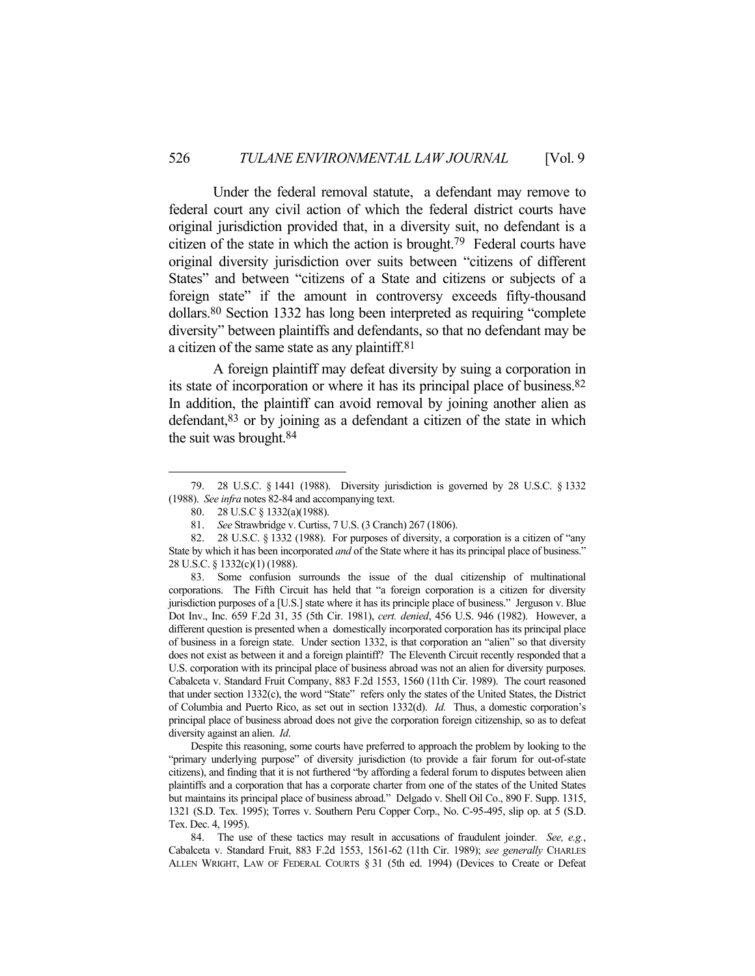Under the federal removal statute, a defendant may remove to federal court any civil action of which the federal district courts have original jurisdiction provided that, in a diversity suit, no defendant is a citizen of the state in which the action is brought.79 Federal courts have original diversity jurisdiction over suits between "citizens of different States" and between "citizens of a State and citizens or subjects of a foreign state" if the amount in controversy exceeds fifty-thousand dollars.80 Section 1332 has long been interpreted as requiring "complete diversity" between plaintiffs and defendants, so that no defendant may be a citizen of the same state as any plaintiff.81

 A foreign plaintiff may defeat diversity by suing a corporation in its state of incorporation or where it has its principal place of business.82 In addition, the plaintiff can avoid removal by joining another alien as defendant,83 or by joining as a defendant a citizen of the state in which the suit was brought.84

1

 Despite this reasoning, some courts have preferred to approach the problem by looking to the "primary underlying purpose" of diversity jurisdiction (to provide a fair forum for out-of-state citizens), and finding that it is not furthered "by affording a federal forum to disputes between alien plaintiffs and a corporation that has a corporate charter from one of the states of the United States but maintains its principal place of business abroad." Delgado v. Shell Oil Co., 890 F. Supp. 1315, 1321 (S.D. Tex. 1995); Torres v. Southern Peru Copper Corp., No. C-95-495, slip op. at 5 (S.D. Tex. Dec. 4, 1995).

 84. The use of these tactics may result in accusations of fraudulent joinder. *See, e.g.*, Cabalceta v. Standard Fruit, 883 F.2d 1553, 1561-62 (11th Cir. 1989); *see generally* CHARLES ALLEN WRIGHT, LAW OF FEDERAL COURTS § 31 (5th ed. 1994) (Devices to Create or Defeat

 <sup>79. 28</sup> U.S.C. § 1441 (1988). Diversity jurisdiction is governed by 28 U.S.C. § 1332 (1988). *See infra* notes 82-84 and accompanying text.

 <sup>80. 28</sup> U.S.C § 1332(a)(1988).

 <sup>81.</sup> *See* Strawbridge v. Curtiss, 7 U.S. (3 Cranch) 267 (1806).

 <sup>82. 28</sup> U.S.C. § 1332 (1988). For purposes of diversity, a corporation is a citizen of "any State by which it has been incorporated *and* of the State where it has its principal place of business." 28 U.S.C. § 1332(c)(1) (1988).

 <sup>83.</sup> Some confusion surrounds the issue of the dual citizenship of multinational corporations. The Fifth Circuit has held that "a foreign corporation is a citizen for diversity jurisdiction purposes of a [U.S.] state where it has its principle place of business." Jerguson v. Blue Dot Inv., Inc. 659 F.2d 31, 35 (5th Cir. 1981), *cert. denied*, 456 U.S. 946 (1982). However, a different question is presented when a domestically incorporated corporation has its principal place of business in a foreign state. Under section 1332, is that corporation an "alien" so that diversity does not exist as between it and a foreign plaintiff? The Eleventh Circuit recently responded that a U.S. corporation with its principal place of business abroad was not an alien for diversity purposes. Cabalceta v. Standard Fruit Company, 883 F.2d 1553, 1560 (11th Cir. 1989). The court reasoned that under section 1332(c), the word "State" refers only the states of the United States, the District of Columbia and Puerto Rico, as set out in section 1332(d). *Id.* Thus, a domestic corporation's principal place of business abroad does not give the corporation foreign citizenship, so as to defeat diversity against an alien. *Id*.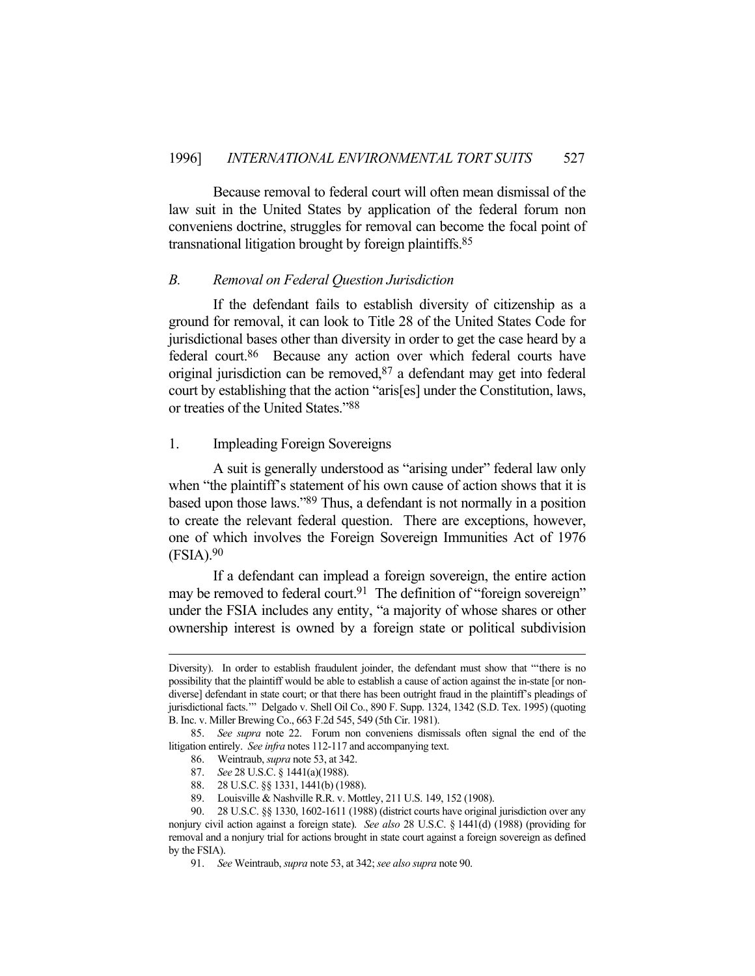Because removal to federal court will often mean dismissal of the law suit in the United States by application of the federal forum non conveniens doctrine, struggles for removal can become the focal point of transnational litigation brought by foreign plaintiffs.85

#### *B. Removal on Federal Question Jurisdiction*

If the defendant fails to establish diversity of citizenship as a ground for removal, it can look to Title 28 of the United States Code for jurisdictional bases other than diversity in order to get the case heard by a federal court.86 Because any action over which federal courts have original jurisdiction can be removed,87 a defendant may get into federal court by establishing that the action "aris[es] under the Constitution, laws, or treaties of the United States."88

# 1. Impleading Foreign Sovereigns

A suit is generally understood as "arising under" federal law only when "the plaintiff's statement of his own cause of action shows that it is based upon those laws."89 Thus, a defendant is not normally in a position to create the relevant federal question. There are exceptions, however, one of which involves the Foreign Sovereign Immunities Act of 1976  $(FSIA).<sup>90</sup>$ 

 If a defendant can implead a foreign sovereign, the entire action may be removed to federal court.<sup>91</sup> The definition of "foreign sovereign" under the FSIA includes any entity, "a majority of whose shares or other ownership interest is owned by a foreign state or political subdivision

Diversity). In order to establish fraudulent joinder, the defendant must show that "'there is no possibility that the plaintiff would be able to establish a cause of action against the in-state [or nondiverse] defendant in state court; or that there has been outright fraud in the plaintiff's pleadings of jurisdictional facts.'" Delgado v. Shell Oil Co., 890 F. Supp. 1324, 1342 (S.D. Tex. 1995) (quoting B. Inc. v. Miller Brewing Co., 663 F.2d 545, 549 (5th Cir. 1981).

 <sup>85.</sup> *See supra* note 22. Forum non conveniens dismissals often signal the end of the litigation entirely. *See infra* notes 112-117 and accompanying text.

 <sup>86.</sup> Weintraub, *supra* note 53, at 342.

 <sup>87.</sup> *See* 28 U.S.C. § 1441(a)(1988).

 <sup>88. 28</sup> U.S.C. §§ 1331, 1441(b) (1988).

 <sup>89.</sup> Louisville & Nashville R.R. v. Mottley, 211 U.S. 149, 152 (1908).

 <sup>90. 28</sup> U.S.C. §§ 1330, 1602-1611 (1988) (district courts have original jurisdiction over any nonjury civil action against a foreign state). *See also* 28 U.S.C. § 1441(d) (1988) (providing for removal and a nonjury trial for actions brought in state court against a foreign sovereign as defined by the FSIA).

 <sup>91.</sup> *See* Weintraub, *supra* note 53, at 342; *see also supra* note 90.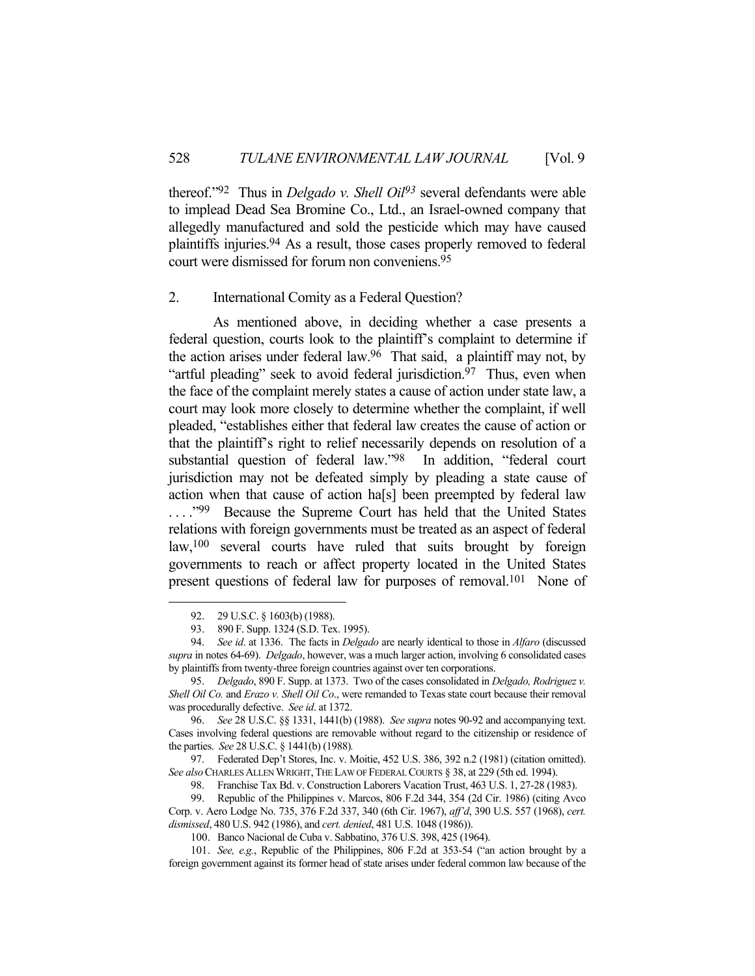thereof."92 Thus in *Delgado v. Shell Oil93* several defendants were able to implead Dead Sea Bromine Co., Ltd., an Israel-owned company that allegedly manufactured and sold the pesticide which may have caused plaintiffs injuries.94 As a result, those cases properly removed to federal court were dismissed for forum non conveniens.95

### 2. International Comity as a Federal Question?

As mentioned above, in deciding whether a case presents a federal question, courts look to the plaintiff's complaint to determine if the action arises under federal law.96 That said, a plaintiff may not, by "artful pleading" seek to avoid federal jurisdiction.<sup>97</sup> Thus, even when the face of the complaint merely states a cause of action under state law, a court may look more closely to determine whether the complaint, if well pleaded, "establishes either that federal law creates the cause of action or that the plaintiff's right to relief necessarily depends on resolution of a substantial question of federal law."98 In addition, "federal court jurisdiction may not be defeated simply by pleading a state cause of action when that cause of action ha[s] been preempted by federal law ...."<sup>99</sup> Because the Supreme Court has held that the United States relations with foreign governments must be treated as an aspect of federal law,100 several courts have ruled that suits brought by foreign governments to reach or affect property located in the United States present questions of federal law for purposes of removal.<sup>101</sup> None of

1

 97. Federated Dep't Stores, Inc. v. Moitie, 452 U.S. 386, 392 n.2 (1981) (citation omitted). See also CHARLES ALLEN WRIGHT, THE LAW OF FEDERAL COURTS § 38, at 229 (5th ed. 1994).

98. Franchise Tax Bd. v. Construction Laborers Vacation Trust, 463 U.S. 1, 27-28 (1983).

 99. Republic of the Philippines v. Marcos, 806 F.2d 344, 354 (2d Cir. 1986) (citing Avco Corp. v. Aero Lodge No. 735, 376 F.2d 337, 340 (6th Cir. 1967), *aff'd*, 390 U.S. 557 (1968), *cert. dismissed*, 480 U.S. 942 (1986), and *cert. denied*, 481 U.S. 1048 (1986)).

 <sup>92. 29</sup> U.S.C. § 1603(b) (1988).

 <sup>93. 890</sup> F. Supp. 1324 (S.D. Tex. 1995).

 <sup>94.</sup> *See id*. at 1336. The facts in *Delgado* are nearly identical to those in *Alfaro* (discussed *supra* in notes 64-69). *Delgado*, however, was a much larger action, involving 6 consolidated cases by plaintiffs from twenty-three foreign countries against over ten corporations.

 <sup>95.</sup> *Delgado*, 890 F. Supp. at 1373. Two of the cases consolidated in *Delgado, Rodriguez v. Shell Oil Co.* and *Erazo v. Shell Oil Co*., were remanded to Texas state court because their removal was procedurally defective. *See id*. at 1372.

 <sup>96.</sup> *See* 28 U.S.C. §§ 1331, 1441(b) (1988). *See supra* notes 90-92 and accompanying text. Cases involving federal questions are removable without regard to the citizenship or residence of the parties. *See* 28 U.S.C. § 1441(b) (1988)*.*

 <sup>100.</sup> Banco Nacional de Cuba v. Sabbatino, 376 U.S. 398, 425 (1964).

 <sup>101.</sup> *See, e.g.*, Republic of the Philippines, 806 F.2d at 353-54 ("an action brought by a foreign government against its former head of state arises under federal common law because of the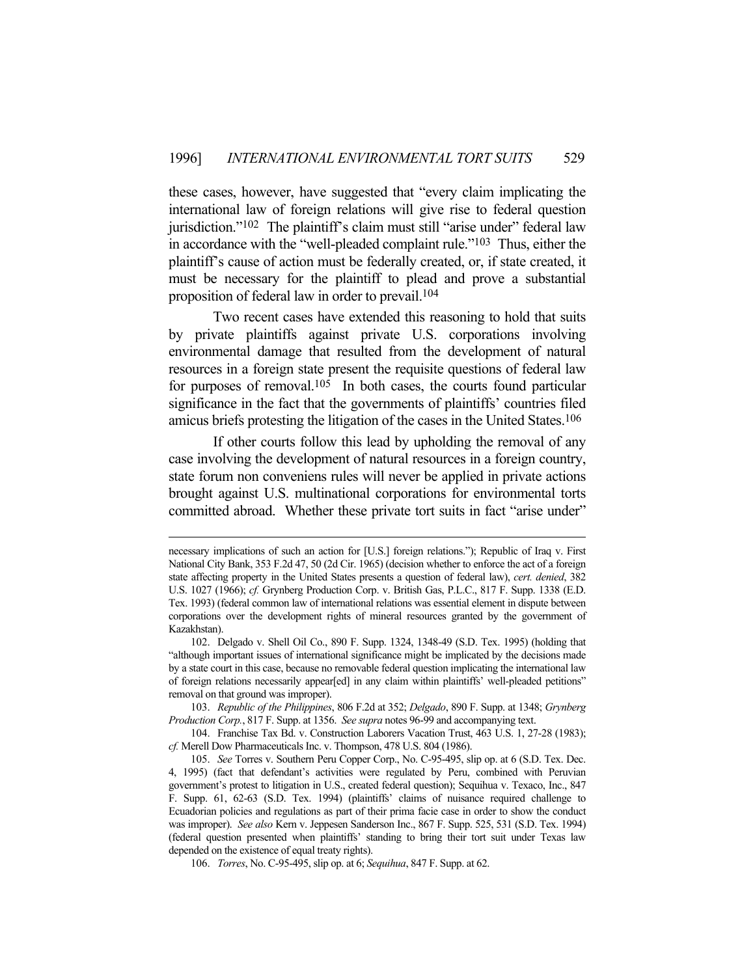these cases, however, have suggested that "every claim implicating the international law of foreign relations will give rise to federal question jurisdiction."<sup>102</sup> The plaintiff's claim must still "arise under" federal law in accordance with the "well-pleaded complaint rule."103 Thus, either the plaintiff's cause of action must be federally created, or, if state created, it must be necessary for the plaintiff to plead and prove a substantial proposition of federal law in order to prevail.104

 Two recent cases have extended this reasoning to hold that suits by private plaintiffs against private U.S. corporations involving environmental damage that resulted from the development of natural resources in a foreign state present the requisite questions of federal law for purposes of removal.105 In both cases, the courts found particular significance in the fact that the governments of plaintiffs' countries filed amicus briefs protesting the litigation of the cases in the United States.106

 If other courts follow this lead by upholding the removal of any case involving the development of natural resources in a foreign country, state forum non conveniens rules will never be applied in private actions brought against U.S. multinational corporations for environmental torts committed abroad. Whether these private tort suits in fact "arise under"

necessary implications of such an action for [U.S.] foreign relations."); Republic of Iraq v. First National City Bank, 353 F.2d 47, 50 (2d Cir. 1965) (decision whether to enforce the act of a foreign state affecting property in the United States presents a question of federal law), *cert. denied*, 382 U.S. 1027 (1966); *cf.* Grynberg Production Corp. v. British Gas, P.L.C., 817 F. Supp. 1338 (E.D. Tex. 1993) (federal common law of international relations was essential element in dispute between corporations over the development rights of mineral resources granted by the government of Kazakhstan).

 <sup>102.</sup> Delgado v. Shell Oil Co., 890 F. Supp. 1324, 1348-49 (S.D. Tex. 1995) (holding that "although important issues of international significance might be implicated by the decisions made by a state court in this case, because no removable federal question implicating the international law of foreign relations necessarily appear[ed] in any claim within plaintiffs' well-pleaded petitions" removal on that ground was improper).

 <sup>103.</sup> *Republic of the Philippines*, 806 F.2d at 352; *Delgado*, 890 F. Supp. at 1348; *Grynberg Production Corp.*, 817 F. Supp. at 1356. *See supra* notes 96-99 and accompanying text.

 <sup>104.</sup> Franchise Tax Bd. v. Construction Laborers Vacation Trust, 463 U.S. 1, 27-28 (1983); *cf.* Merell Dow Pharmaceuticals Inc. v. Thompson, 478 U.S. 804 (1986).

 <sup>105.</sup> *See* Torres v. Southern Peru Copper Corp., No. C-95-495, slip op. at 6 (S.D. Tex. Dec. 4, 1995) (fact that defendant's activities were regulated by Peru, combined with Peruvian government's protest to litigation in U.S., created federal question); Sequihua v. Texaco, Inc., 847 F. Supp. 61, 62-63 (S.D. Tex. 1994) (plaintiffs' claims of nuisance required challenge to Ecuadorian policies and regulations as part of their prima facie case in order to show the conduct was improper). *See also* Kern v. Jeppesen Sanderson Inc., 867 F. Supp. 525, 531 (S.D. Tex. 1994) (federal question presented when plaintiffs' standing to bring their tort suit under Texas law depended on the existence of equal treaty rights).

 <sup>106.</sup> *Torres*, No. C-95-495, slip op. at 6; *Sequihua*, 847 F. Supp. at 62.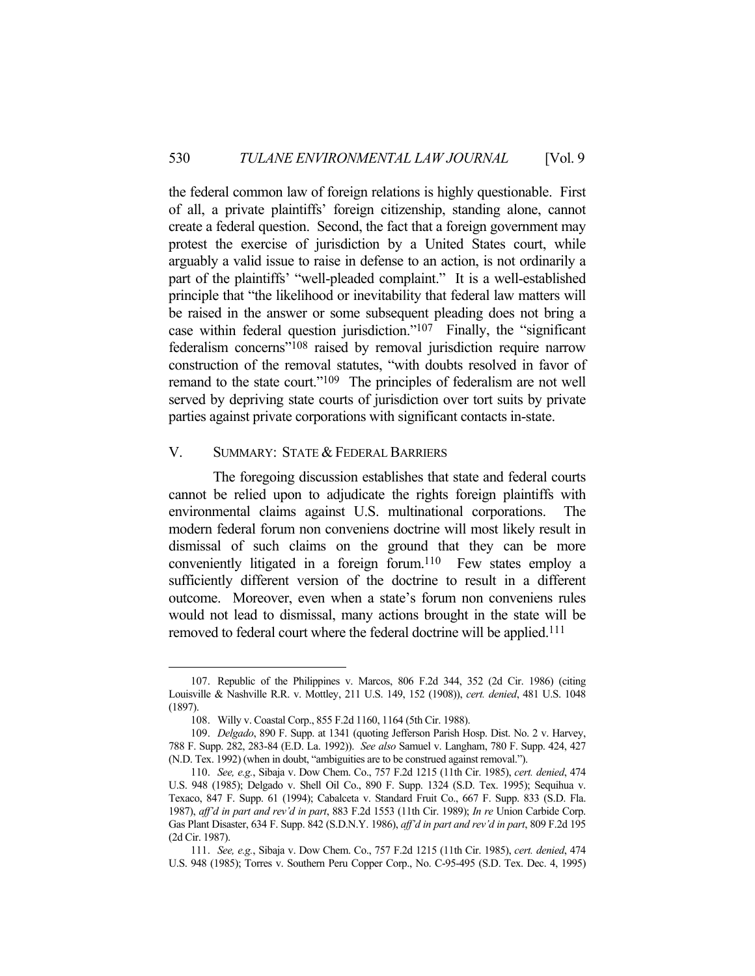the federal common law of foreign relations is highly questionable. First of all, a private plaintiffs' foreign citizenship, standing alone, cannot create a federal question. Second, the fact that a foreign government may protest the exercise of jurisdiction by a United States court, while arguably a valid issue to raise in defense to an action, is not ordinarily a part of the plaintiffs' "well-pleaded complaint." It is a well-established principle that "the likelihood or inevitability that federal law matters will be raised in the answer or some subsequent pleading does not bring a case within federal question jurisdiction."107 Finally, the "significant federalism concerns"108 raised by removal jurisdiction require narrow construction of the removal statutes, "with doubts resolved in favor of remand to the state court."109 The principles of federalism are not well served by depriving state courts of jurisdiction over tort suits by private parties against private corporations with significant contacts in-state.

#### V. SUMMARY: STATE & FEDERAL BARRIERS

The foregoing discussion establishes that state and federal courts cannot be relied upon to adjudicate the rights foreign plaintiffs with environmental claims against U.S. multinational corporations. The modern federal forum non conveniens doctrine will most likely result in dismissal of such claims on the ground that they can be more conveniently litigated in a foreign forum.110 Few states employ a sufficiently different version of the doctrine to result in a different outcome. Moreover, even when a state's forum non conveniens rules would not lead to dismissal, many actions brought in the state will be removed to federal court where the federal doctrine will be applied.<sup>111</sup>

 <sup>107.</sup> Republic of the Philippines v. Marcos, 806 F.2d 344, 352 (2d Cir. 1986) (citing Louisville & Nashville R.R. v. Mottley, 211 U.S. 149, 152 (1908)), *cert. denied*, 481 U.S. 1048 (1897).

 <sup>108.</sup> Willy v. Coastal Corp., 855 F.2d 1160, 1164 (5th Cir. 1988).

 <sup>109.</sup> *Delgado*, 890 F. Supp. at 1341 (quoting Jefferson Parish Hosp. Dist. No. 2 v. Harvey, 788 F. Supp. 282, 283-84 (E.D. La. 1992)). *See also* Samuel v. Langham, 780 F. Supp. 424, 427 (N.D. Tex. 1992) (when in doubt, "ambiguities are to be construed against removal.").

 <sup>110.</sup> *See, e.g.*, Sibaja v. Dow Chem. Co., 757 F.2d 1215 (11th Cir. 1985), *cert. denied*, 474 U.S. 948 (1985); Delgado v. Shell Oil Co., 890 F. Supp. 1324 (S.D. Tex. 1995); Sequihua v. Texaco, 847 F. Supp. 61 (1994); Cabalceta v. Standard Fruit Co., 667 F. Supp. 833 (S.D. Fla. 1987), *aff'd in part and rev'd in part*, 883 F.2d 1553 (11th Cir. 1989); *In re* Union Carbide Corp. Gas Plant Disaster, 634 F. Supp. 842 (S.D.N.Y. 1986), *aff'd in part and rev'd in part*, 809 F.2d 195 (2d Cir. 1987).

 <sup>111.</sup> *See, e.g.*, Sibaja v. Dow Chem. Co., 757 F.2d 1215 (11th Cir. 1985), *cert. denied*, 474 U.S. 948 (1985); Torres v. Southern Peru Copper Corp., No. C-95-495 (S.D. Tex. Dec. 4, 1995)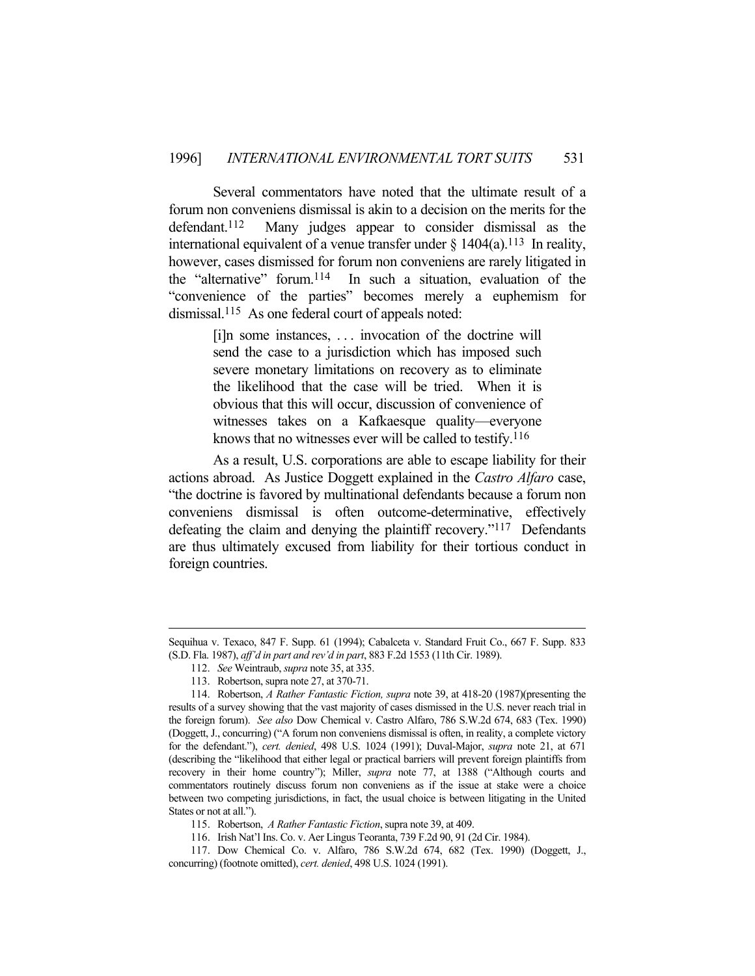Several commentators have noted that the ultimate result of a forum non conveniens dismissal is akin to a decision on the merits for the defendant.112 Many judges appear to consider dismissal as the international equivalent of a venue transfer under  $\S$  1404(a).<sup>113</sup> In reality, however, cases dismissed for forum non conveniens are rarely litigated in the "alternative" forum.114 In such a situation, evaluation of the "convenience of the parties" becomes merely a euphemism for dismissal.115 As one federal court of appeals noted:

> [i]n some instances, . . . invocation of the doctrine will send the case to a jurisdiction which has imposed such severe monetary limitations on recovery as to eliminate the likelihood that the case will be tried. When it is obvious that this will occur, discussion of convenience of witnesses takes on a Kafkaesque quality—everyone knows that no witnesses ever will be called to testify.<sup>116</sup>

 As a result, U.S. corporations are able to escape liability for their actions abroad. As Justice Doggett explained in the *Castro Alfaro* case, "the doctrine is favored by multinational defendants because a forum non conveniens dismissal is often outcome-determinative, effectively defeating the claim and denying the plaintiff recovery."117 Defendants are thus ultimately excused from liability for their tortious conduct in foreign countries.

115. Robertson, *A Rather Fantastic Fiction*, supra note 39, at 409.

Sequihua v. Texaco, 847 F. Supp. 61 (1994); Cabalceta v. Standard Fruit Co., 667 F. Supp. 833 (S.D. Fla. 1987), *aff'd in part and rev'd in part*, 883 F.2d 1553 (11th Cir. 1989).

 <sup>112.</sup> *See* Weintraub, *supra* note 35, at 335.

 <sup>113.</sup> Robertson, supra note 27, at 370-71.

 <sup>114.</sup> Robertson, *A Rather Fantastic Fiction, supra* note 39, at 418-20 (1987)(presenting the results of a survey showing that the vast majority of cases dismissed in the U.S. never reach trial in the foreign forum). *See also* Dow Chemical v. Castro Alfaro, 786 S.W.2d 674, 683 (Tex. 1990) (Doggett, J., concurring) ("A forum non conveniens dismissal is often, in reality, a complete victory for the defendant."), *cert. denied*, 498 U.S. 1024 (1991); Duval-Major, *supra* note 21, at 671 (describing the "likelihood that either legal or practical barriers will prevent foreign plaintiffs from recovery in their home country"); Miller, *supra* note 77, at 1388 ("Although courts and commentators routinely discuss forum non conveniens as if the issue at stake were a choice between two competing jurisdictions, in fact, the usual choice is between litigating in the United States or not at all.").

 <sup>116.</sup> Irish Nat'l Ins. Co. v. Aer Lingus Teoranta, 739 F.2d 90, 91 (2d Cir. 1984).

 <sup>117.</sup> Dow Chemical Co. v. Alfaro, 786 S.W.2d 674, 682 (Tex. 1990) (Doggett, J., concurring) (footnote omitted), *cert. denied*, 498 U.S. 1024 (1991).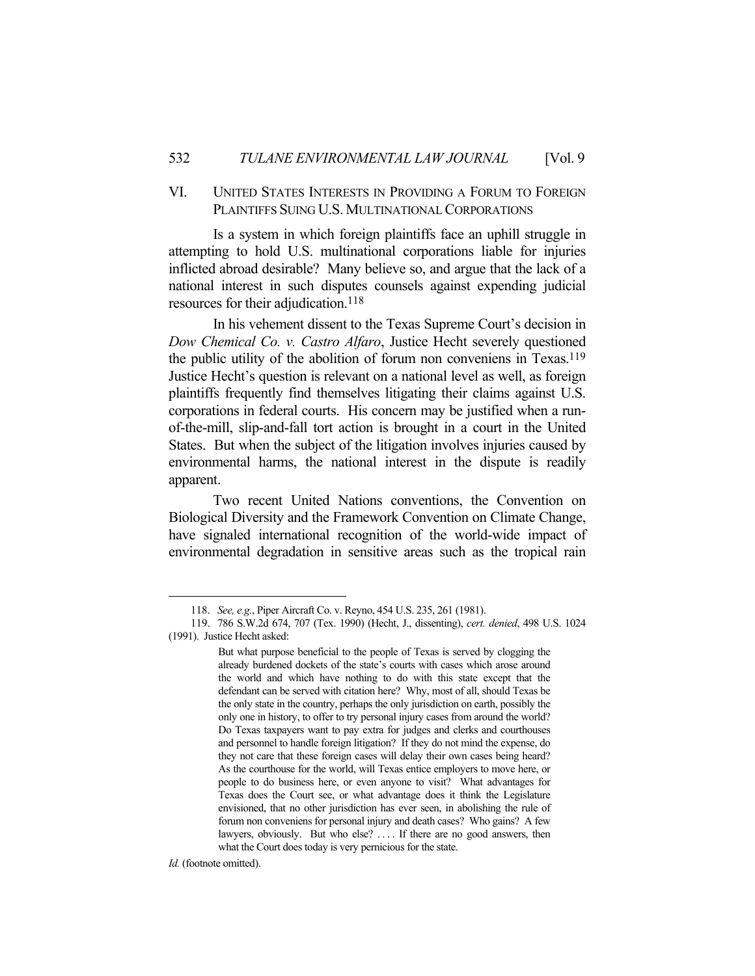# VI. UNITED STATES INTERESTS IN PROVIDING A FORUM TO FOREIGN PLAINTIFFS SUING U.S. MULTINATIONAL CORPORATIONS

 Is a system in which foreign plaintiffs face an uphill struggle in attempting to hold U.S. multinational corporations liable for injuries inflicted abroad desirable? Many believe so, and argue that the lack of a national interest in such disputes counsels against expending judicial resources for their adjudication.<sup>118</sup>

In his vehement dissent to the Texas Supreme Court's decision in *Dow Chemical Co. v. Castro Alfaro*, Justice Hecht severely questioned the public utility of the abolition of forum non conveniens in Texas.119 Justice Hecht's question is relevant on a national level as well, as foreign plaintiffs frequently find themselves litigating their claims against U.S. corporations in federal courts. His concern may be justified when a runof-the-mill, slip-and-fall tort action is brought in a court in the United States. But when the subject of the litigation involves injuries caused by environmental harms, the national interest in the dispute is readily apparent.

 Two recent United Nations conventions, the Convention on Biological Diversity and the Framework Convention on Climate Change, have signaled international recognition of the world-wide impact of environmental degradation in sensitive areas such as the tropical rain

*Id.* (footnote omitted).

 <sup>118.</sup> *See, e.g.*, Piper Aircraft Co. v. Reyno, 454 U.S. 235, 261 (1981).

 <sup>119. 786</sup> S.W.2d 674, 707 (Tex. 1990) (Hecht, J., dissenting), *cert. denied*, 498 U.S. 1024 (1991). Justice Hecht asked:

But what purpose beneficial to the people of Texas is served by clogging the already burdened dockets of the state's courts with cases which arose around the world and which have nothing to do with this state except that the defendant can be served with citation here? Why, most of all, should Texas be the only state in the country, perhaps the only jurisdiction on earth, possibly the only one in history, to offer to try personal injury cases from around the world? Do Texas taxpayers want to pay extra for judges and clerks and courthouses and personnel to handle foreign litigation? If they do not mind the expense, do they not care that these foreign cases will delay their own cases being heard? As the courthouse for the world, will Texas entice employers to move here, or people to do business here, or even anyone to visit? What advantages for Texas does the Court see, or what advantage does it think the Legislature envisioned, that no other jurisdiction has ever seen, in abolishing the rule of forum non conveniens for personal injury and death cases? Who gains? A few lawyers, obviously. But who else? .... If there are no good answers, then what the Court does today is very pernicious for the state.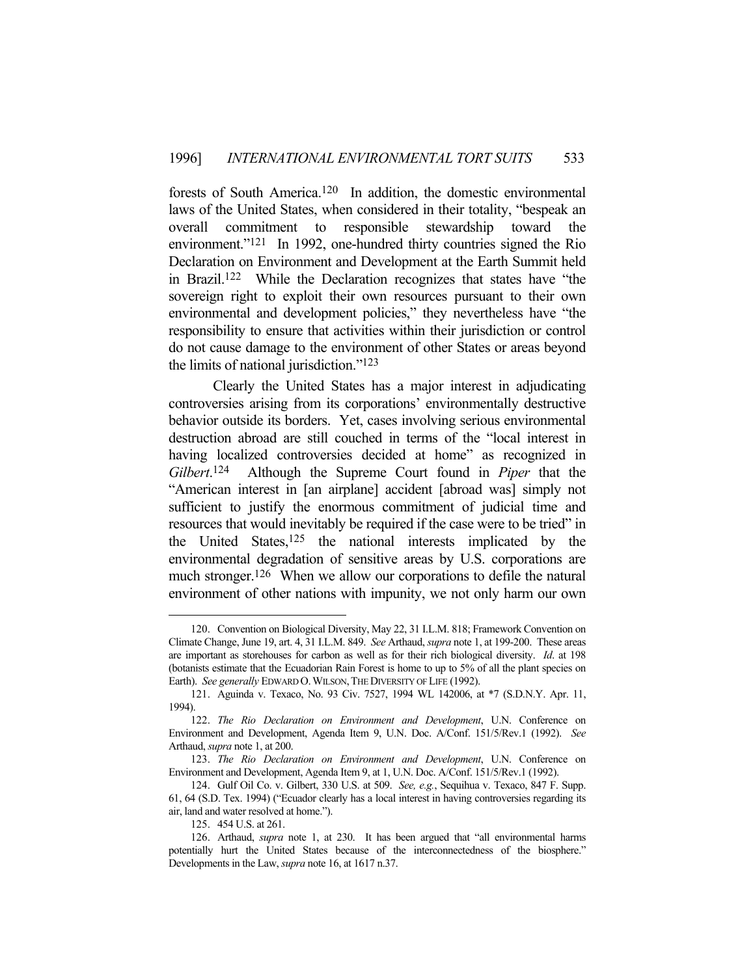forests of South America.120 In addition, the domestic environmental laws of the United States, when considered in their totality, "bespeak an overall commitment to responsible stewardship toward the environment."<sup>121</sup> In 1992, one-hundred thirty countries signed the Rio Declaration on Environment and Development at the Earth Summit held in Brazil.122 While the Declaration recognizes that states have "the sovereign right to exploit their own resources pursuant to their own environmental and development policies," they nevertheless have "the responsibility to ensure that activities within their jurisdiction or control do not cause damage to the environment of other States or areas beyond the limits of national jurisdiction."123

 Clearly the United States has a major interest in adjudicating controversies arising from its corporations' environmentally destructive behavior outside its borders. Yet, cases involving serious environmental destruction abroad are still couched in terms of the "local interest in having localized controversies decided at home" as recognized in *Gilbert*. 124 Although the Supreme Court found in *Piper* that the "American interest in [an airplane] accident [abroad was] simply not sufficient to justify the enormous commitment of judicial time and resources that would inevitably be required if the case were to be tried" in the United States,  $125$  the national interests implicated by the environmental degradation of sensitive areas by U.S. corporations are much stronger.<sup>126</sup> When we allow our corporations to defile the natural environment of other nations with impunity, we not only harm our own

 <sup>120.</sup> Convention on Biological Diversity, May 22, 31 I.L.M. 818; Framework Convention on Climate Change, June 19, art. 4, 31 I.L.M. 849. *See* Arthaud, *supra* note 1, at 199-200. These areas are important as storehouses for carbon as well as for their rich biological diversity. *Id*. at 198 (botanists estimate that the Ecuadorian Rain Forest is home to up to 5% of all the plant species on Earth). *See generally* EDWARD O.WILSON,THEDIVERSITY OF LIFE (1992).

 <sup>121.</sup> Aguinda v. Texaco, No. 93 Civ. 7527, 1994 WL 142006, at \*7 (S.D.N.Y. Apr. 11, 1994).

 <sup>122.</sup> *The Rio Declaration on Environment and Development*, U.N. Conference on Environment and Development, Agenda Item 9, U.N. Doc. A/Conf. 151/5/Rev.1 (1992). *See*  Arthaud, *supra* note 1, at 200.

 <sup>123.</sup> *The Rio Declaration on Environment and Development*, U.N. Conference on Environment and Development, Agenda Item 9, at 1, U.N. Doc. A/Conf. 151/5/Rev.1 (1992).

 <sup>124.</sup> Gulf Oil Co. v. Gilbert, 330 U.S. at 509. *See, e.g.*, Sequihua v. Texaco, 847 F. Supp. 61, 64 (S.D. Tex. 1994) ("Ecuador clearly has a local interest in having controversies regarding its air, land and water resolved at home.").

 <sup>125. 454</sup> U.S. at 261.

 <sup>126.</sup> Arthaud, *supra* note 1, at 230. It has been argued that "all environmental harms potentially hurt the United States because of the interconnectedness of the biosphere." Developments in the Law, *supra* note 16, at 1617 n.37.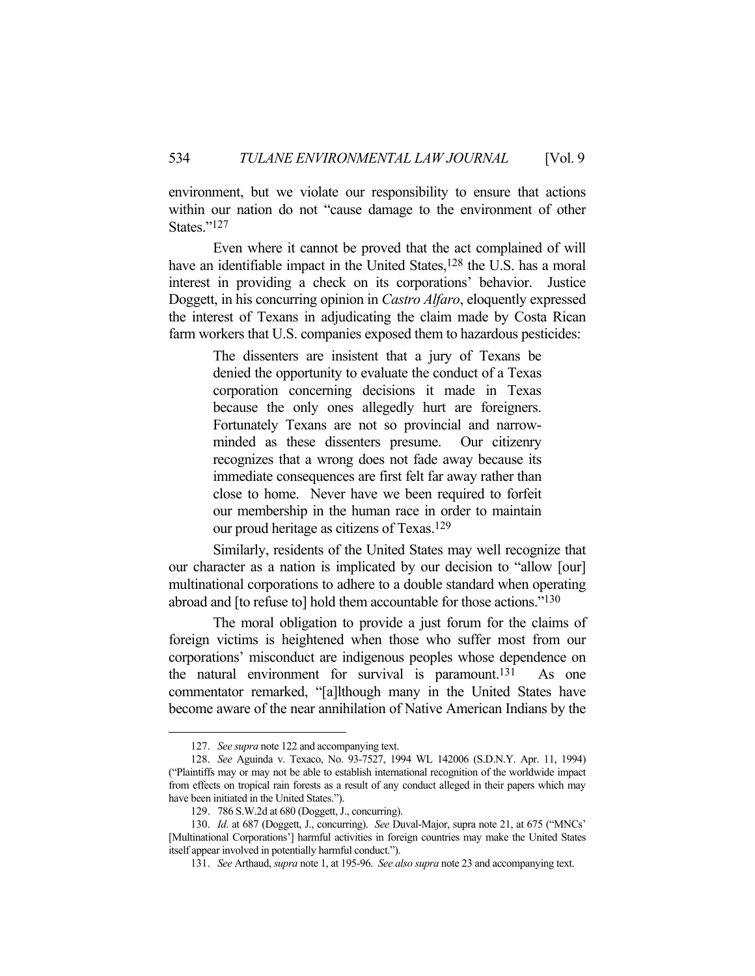environment, but we violate our responsibility to ensure that actions within our nation do not "cause damage to the environment of other States."127

 Even where it cannot be proved that the act complained of will have an identifiable impact in the United States,<sup>128</sup> the U.S. has a moral interest in providing a check on its corporations' behavior. Justice Doggett, in his concurring opinion in *Castro Alfaro*, eloquently expressed the interest of Texans in adjudicating the claim made by Costa Rican farm workers that U.S. companies exposed them to hazardous pesticides:

> The dissenters are insistent that a jury of Texans be denied the opportunity to evaluate the conduct of a Texas corporation concerning decisions it made in Texas because the only ones allegedly hurt are foreigners. Fortunately Texans are not so provincial and narrowminded as these dissenters presume. Our citizenry recognizes that a wrong does not fade away because its immediate consequences are first felt far away rather than close to home. Never have we been required to forfeit our membership in the human race in order to maintain our proud heritage as citizens of Texas.129

 Similarly, residents of the United States may well recognize that our character as a nation is implicated by our decision to "allow [our] multinational corporations to adhere to a double standard when operating abroad and [to refuse to] hold them accountable for those actions."130

 The moral obligation to provide a just forum for the claims of foreign victims is heightened when those who suffer most from our corporations' misconduct are indigenous peoples whose dependence on the natural environment for survival is paramount.131 As one commentator remarked, "[a]lthough many in the United States have become aware of the near annihilation of Native American Indians by the

 <sup>127.</sup> *See supra* note 122 and accompanying text.

 <sup>128.</sup> *See* Aguinda v. Texaco, No. 93-7527, 1994 WL 142006 (S.D.N.Y. Apr. 11, 1994) ("Plaintiffs may or may not be able to establish international recognition of the worldwide impact from effects on tropical rain forests as a result of any conduct alleged in their papers which may have been initiated in the United States.").

 <sup>129. 786</sup> S.W.2d at 680 (Doggett, J., concurring).

 <sup>130.</sup> *Id*. at 687 (Doggett, J., concurring). *See* Duval-Major, supra note 21, at 675 ("MNCs' [Multinational Corporations'] harmful activities in foreign countries may make the United States itself appear involved in potentially harmful conduct.").

 <sup>131.</sup> *See* Arthaud, *supra* note 1, at 195-96. *See also supra* note 23 and accompanying text.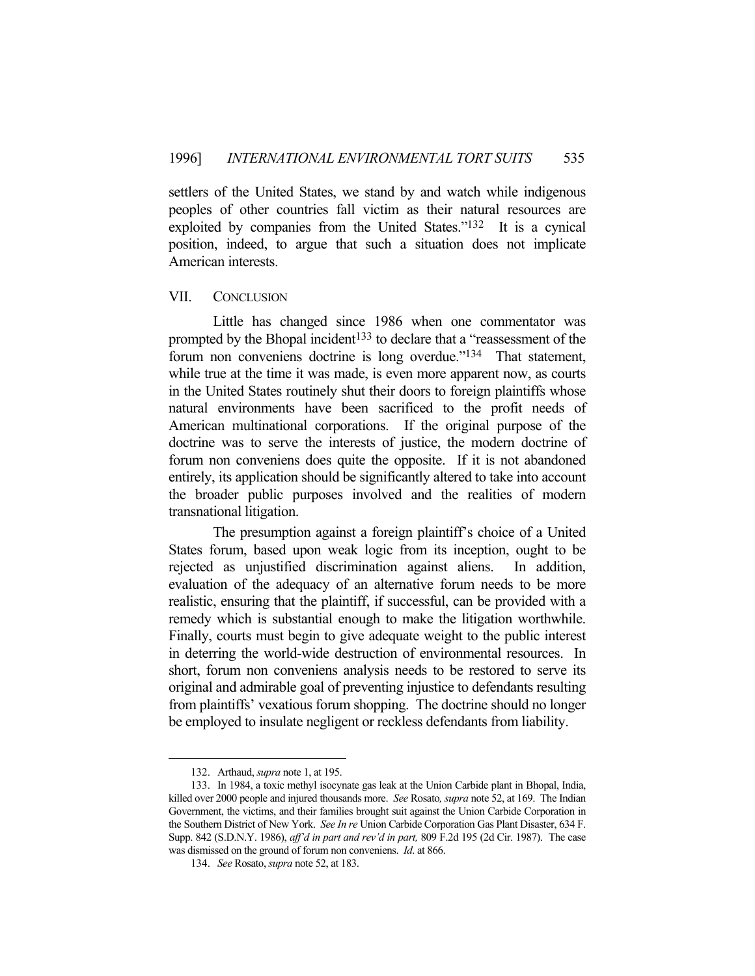settlers of the United States, we stand by and watch while indigenous peoples of other countries fall victim as their natural resources are exploited by companies from the United States."132 It is a cynical position, indeed, to argue that such a situation does not implicate American interests.

# VII. CONCLUSION

 Little has changed since 1986 when one commentator was prompted by the Bhopal incident<sup>133</sup> to declare that a "reassessment of the forum non conveniens doctrine is long overdue."<sup>134</sup> That statement, while true at the time it was made, is even more apparent now, as courts in the United States routinely shut their doors to foreign plaintiffs whose natural environments have been sacrificed to the profit needs of American multinational corporations. If the original purpose of the doctrine was to serve the interests of justice, the modern doctrine of forum non conveniens does quite the opposite. If it is not abandoned entirely, its application should be significantly altered to take into account the broader public purposes involved and the realities of modern transnational litigation.

 The presumption against a foreign plaintiff's choice of a United States forum, based upon weak logic from its inception, ought to be rejected as unjustified discrimination against aliens. In addition, evaluation of the adequacy of an alternative forum needs to be more realistic, ensuring that the plaintiff, if successful, can be provided with a remedy which is substantial enough to make the litigation worthwhile. Finally, courts must begin to give adequate weight to the public interest in deterring the world-wide destruction of environmental resources. In short, forum non conveniens analysis needs to be restored to serve its original and admirable goal of preventing injustice to defendants resulting from plaintiffs' vexatious forum shopping. The doctrine should no longer be employed to insulate negligent or reckless defendants from liability.

 <sup>132.</sup> Arthaud, *supra* note 1, at 195.

 <sup>133.</sup> In 1984, a toxic methyl isocynate gas leak at the Union Carbide plant in Bhopal, India, killed over 2000 people and injured thousands more. *See* Rosato*, supra* note 52, at 169. The Indian Government, the victims, and their families brought suit against the Union Carbide Corporation in the Southern District of New York. *See In re* Union Carbide Corporation Gas Plant Disaster, 634 F. Supp. 842 (S.D.N.Y. 1986), *aff'd in part and rev'd in part,* 809 F.2d 195 (2d Cir. 1987). The case was dismissed on the ground of forum non conveniens. *Id*. at 866.

 <sup>134.</sup> *See* Rosato, *supra* note 52, at 183.